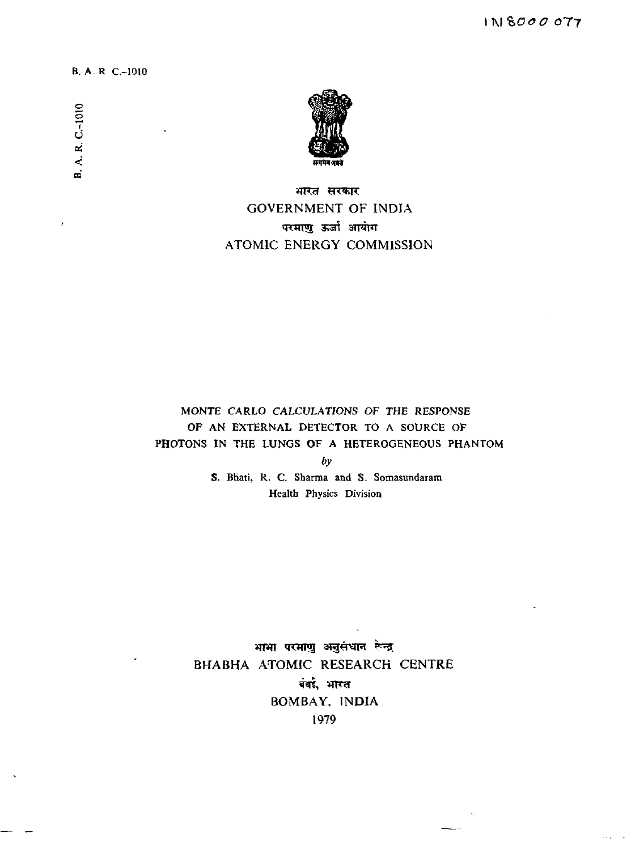B. A. R C.-1010

**o o** *V*



भारत सरकार GOVERNMENT OF INDIA परमाणु ऊर्जा आयोग ATOMIC ENERGY COMMISSION

MONTE CARLO CALCULATIONS OF THE RESPONSE OF AN EXTERNAL DETECTOR TO A SOURCE OF PHOTONS IN THE LUNGS OF A HETEROGENEOUS PHANTOM *by*

> S. Bhati, R. C. Sharma and S. Somasundaram Health Physics Division

भाभा परमाणु अनुसंधान रून्द्र BHABHA ATOMIC RESEARCH CENTRE बंबई, भारत BOMBAY, INDIA 1979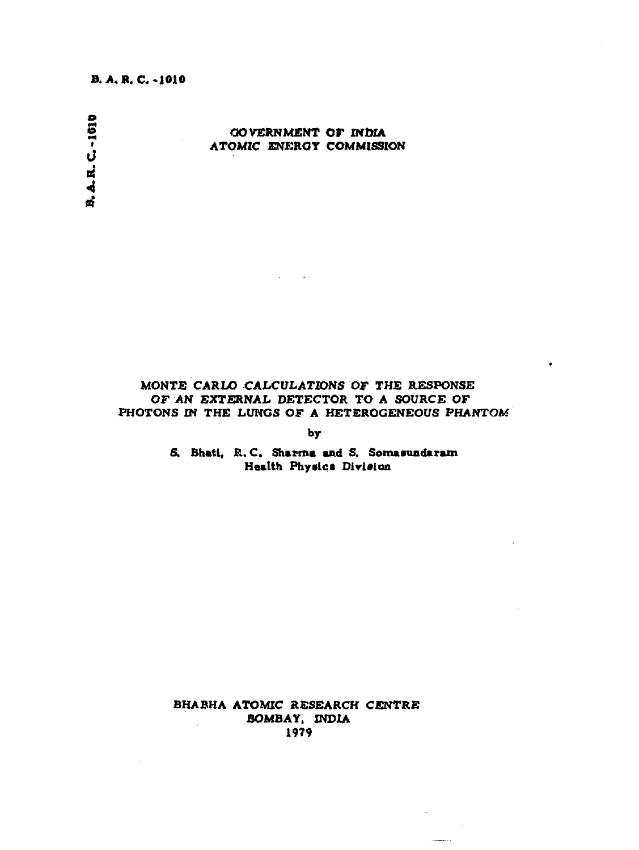# **B. A. B.C.-1010**

# **S GOVERNMENT OF INDIA • ATOMIC ENERGY COMMISSION B.A.R.C.-1010**

# **MONTE CARLO CALCULATIONS OF THE RESPONSE OF AN EXTERNAL DETECTOR TO A SOURCE OF PHOTONS IN THE LUNGS OF A HETEROGENEOUS PHANTOM**

**by**

**S. Bhati, R.C. Sharma and S. Somasundaram Health Phyalca Dirlaion**

**BHABHA ATOMIC RESEARCH CENTRE BOMBAY, INDIA 1979**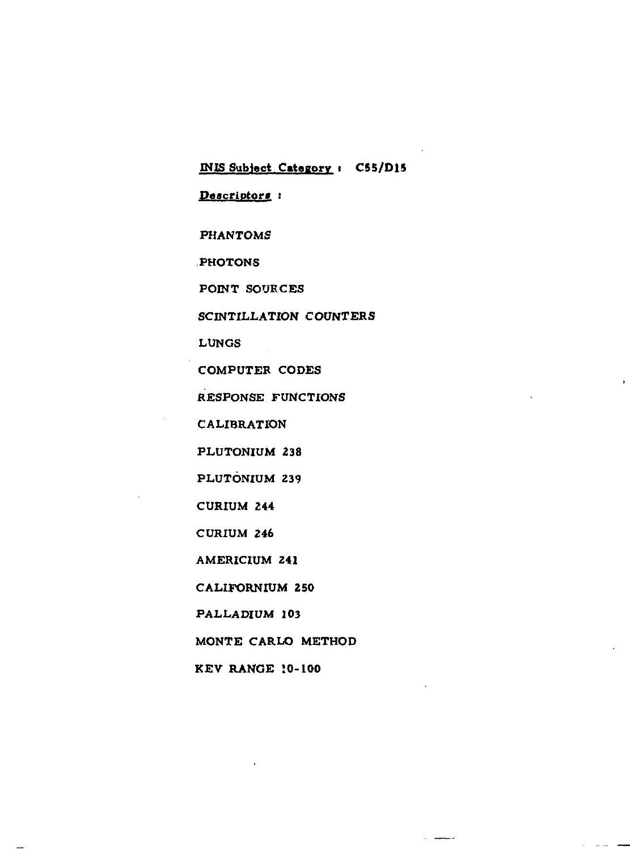**INIS Subject Catagorv » CS5/D15**  $Descriptor:$ **PHANTOMS PHOTONS POINT SOURCES SCINTILLATION COUNTERS LUNGS COMPUTER CODES RESPONSE FUNCTIONS CALIBRATION PLUTONIUM 238 PLUTONIUM 239 CURIUM 244 CURIUM 246 AMERICIUM 241 CALIFORNIUM 250 PALLADIUM 103 MONTE CARLO METHOD**

**KEV RANGE 10-100**

 $\overline{\phantom{a}}$ 

 $\alpha$  . Therefore,

 $\alpha_{\rm{eff}}=1.44\pm0.000$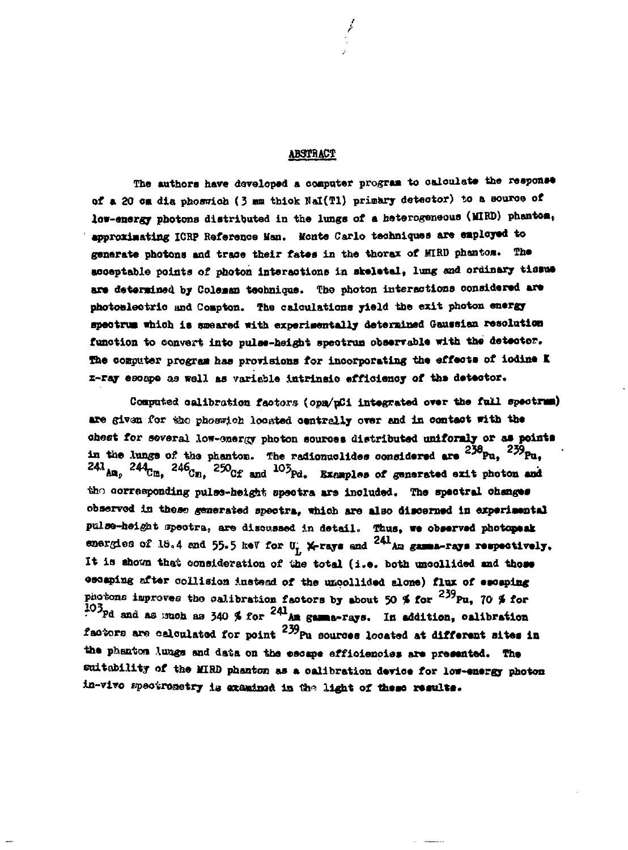## **ABSTRACT**

The authors have developed a computer program to calculate the response of a 20 cm dia phoswich (3 mm thick NaI(T1) primary detector) to a source of low-energy photons distributed in the lungs of a heterogeneous (MIRD) phantom, approximating ICRP Reference Man. Monte Carlo techniques are employed to generate photons and trace their fates in the thorax of MIRD phantom. The acceptable points of photon interactions in skeletal, lung and ordinary tissue are determined by Coleman technique. The photon interactions considered are photoelectric and Compton. The calculations yield the exit photon energy spectrum which is smeared with experimentally determined Gaussian resolution function to convert into pulse-height spectrum observable with the detector. The computer program has provisions for incorporating the effects of iodine K z-ray escape as well as variable intrinsic efficiency of the detector.

Computed calibration factors (opm/pCi integrated over the full spectrum) are given for the phoswich located centrally over and in contact with the chest for several low-energy photon sources distributed uniformly or as points in the lungs of the phanton. The radionuclides considered are  $^{239}$ Pu.  $^{239}$ Pu.  $^{241}$ Am.  $^{244}$ Cm.  $^{246}$ Cm.  $^{250}$ Cf and  $^{103}$ Pd. Examples of generated exit photon and the corresponding pulse-height spectra are included. The spectral changes observed in these generated spectra, which are also discerned in experimental pulse-height spectra, are discussed in detail. Thus, we observed photomeak energies of 18.4 and 55.5 heV for  $0^{\circ}_{L}$  X-rays and <sup>241</sup>Au gamma-rays respectively. It is shown that consideration of the total (i.e. both uncollided and those escaping after collision instead of the uncollided alone) flux of escaping photons improves the calibration factors by about 50 % for  $^{239}$ Pu, 70 % for 103pd and as much as 340 % for <sup>241</sup>Am gamma-rays. In addition, calibration factors are calculated for point  $^{239}$ Pu sources located at different sites in the phenton lungs and data on the escape efficiencies are presented. The suitability of the MIRD phanton as a calibration device for low-energy photon in-vivo spectronetry is examined in the light of these results.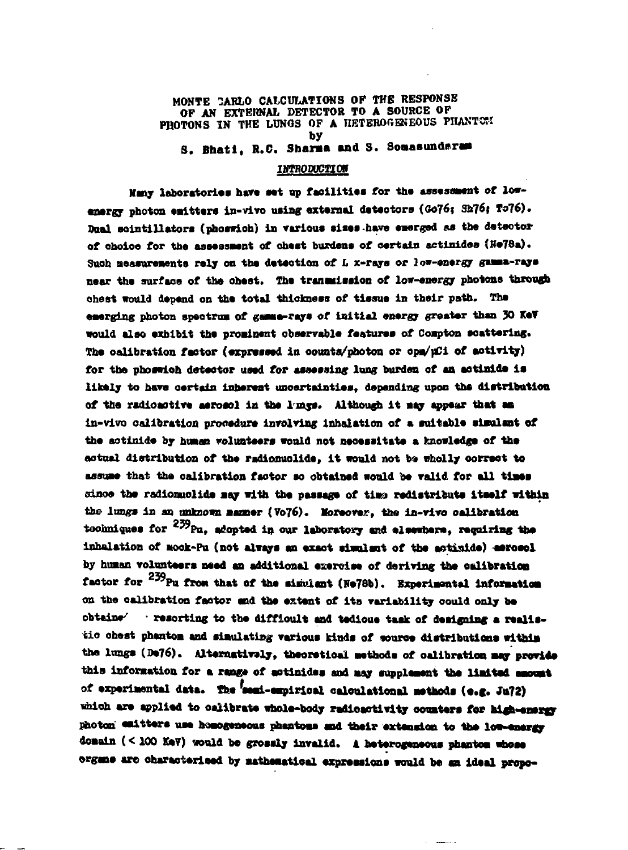## **MONTE 2ARLO CALCULATIONS OF THE RESPONSE OF AN EXTERNAL DETECTOR TO A SOURCE OF** PHOTONS IN THE LUNGS OF A HETEROGENEOUS PHANTOM **by** S. Bhati, R.C. Sharma and S. Somasundaram

## **INTRODUCTIOB**

Many laboratories have set up facilities for the assessment of lowenergy photon emitters in-vivo using external detectors (Go76; Sh76; To76). **Dual scintillators (phoswich) in various sizes have emerged as the detector** of choioe for the assessment of chest burdens of certain actinides (He78a). **Suoh aeasureaente rely on tha dataotion of** *L* **x-rays or low-energy gaaaa-raya near tha sorfaoa of tha ohast. Tha tranaaiaeion of low-energy photons through cheat would depend on tha tota l thlokness of tissua in thair path. Tha** emerging photon spectrum of gamma-rays of initial energy greater than 30 KeV **vould also axblbit tha proainant obsarrabla faaturas of Coapton aoattarlng. Tha oalibration factor (azpnaaad in oounta/pboton or cpa/pCi of aotirity )** for the phoswich detector used for assessing lung burden of an actinide is **likal y t o hsra oartain inbaraat unoartaiatiaa, dapanding upon tha diatribntion of tha radioaotira aaroaol i n tha l <sup>r</sup>ms\*. Although i t aay appaar that as ln-vivo oalibration prooadura inrolring inhalation of a aoltabla siaulant of tha aotinida by huaan voluntaars would not naoaasltata a fenowladga of tha** actual distribution of the radionuclide, it would not be wholly correct to **assuaa that tha oalibration factor so obtainad would ba valid for al l tiaaa sdaoa tba radionuolida aajr "ith tha pasaaga of tiwa radistributa itaalf within** the lungs in an unknown manner (Vo76). Moreover, the in-vivo calibration **toohniquea for <sup>259</sup>P u, adoptad in our laboratory and alaawbara, raquiring tha inhalation of aook-Pu (not always an axaot aianlant o f tha aotinida) aaroaol by huaan rolnntaara Mad an additional asaroiaa of deriving tha Oklibratloa factor for <sup>e</sup> ^ P u froa that of tha aiaulant (Ha78b). Sxpariaantal lnforaatioa** on the calibration factor and the extent of its variability could only be obtaine' **· resorting to the difficult and tedious task of designing a realissio ehast phantoa and siaulatlng various kinds of aouroa distributions withla tha lungs (Da76). Alternatiwly , thaoratioal aathoda of oalibration aay provide** this information for a range of aotinides and may supplement the limited amount **of axpariaental data. Tb« <sup>f</sup>aaai-aBpirloal oaloulatlonal aathoda (•.« . Ju72)** which are applied to calibrate whole-body radioactivity counters for high-energy **photon eaitter a use haaogeneras phaatoas and thai r extension t o the low-energy doaain ( < 100 KaV) wol d be grossly invalid. 4 heterogeneous phantoa whose** domain (<100 KeV) would be grossly invalid. A heterogeneous phantom whose<br>organs are oharacterieed by mathematical expressions would be an ideal propo-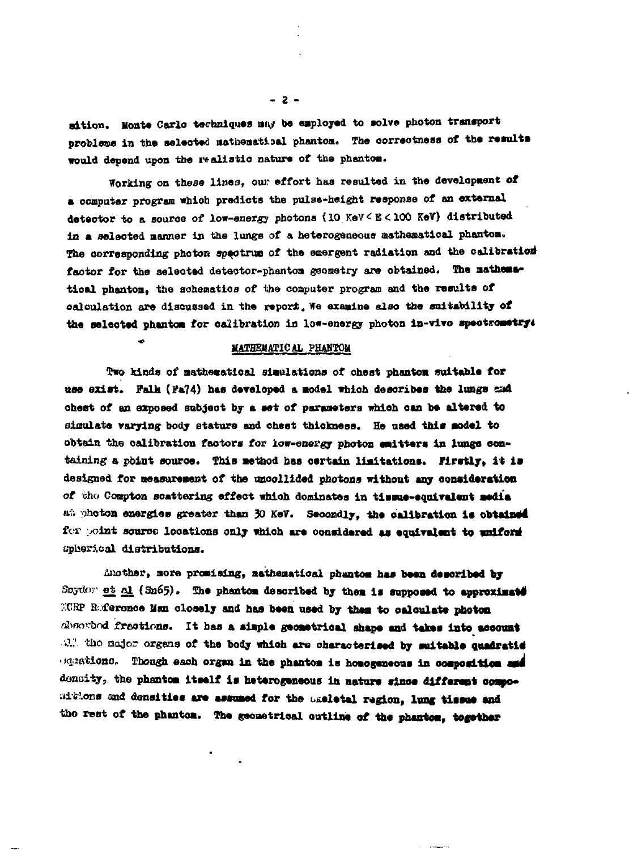aition. Monte Carlo techniques may be employed to solve photon transport problems in the selected nathematical phantom. The correctness of the results would depend upon the realistic nature of the phantom.

Working on these lines, our effort has resulted in the development of a computer program which predicts the pulse-height response of an external detector to a source of low-energy photons (10 KeV < E < 100 KeV) distributed in a selected manner in the lungs of a heterogeneous mathematical phantom. The corresponding photon spectrum of the emergent radiation and the calibration factor for the selected detector-phantom geometry are obtained. The mathematical phantom, the schematics of the computer program and the results of calculation are discussed in the report. We examine also the suitability of the selected phantom for calibration in low-energy photon in-vivo spectrometry:

## MATHEMATICAL PHANTOM

 $\overline{a}$ 

Two kinds of mathematical simulations of chest phantom suitable for use exist. Falk (Fa74) has developed a model which describes the lungs and chest of an exposed subject by a set of parameters which can be altered to simulate varying body stature and chest thickness. He used this model to obtain the calibration factors for low-energy photon emitters in lungs containing a point source. This method has certain limitations. Firstly, it is designed for measurement of the uncollided photons without any consideration of the Compton scattering effect which dominates in tissue-equivalent media at photon energies greater than 30 KeV. Secondly, the calibration is obtained for point source locations only which are considered as equivalent to uniform spherical distributions.

Another, more promising, mathematical phentom has been described by Snyder et  $\underline{\alpha}$  (Sn65). The phantom described by them is supposed to approximate MURP Reference Man closely and has been used by them to calculate photon described fractions. It has a simple geometrical shape and takes into account all the major organs of the body which are characterised by suitable quadratie squations. Though each organ in the phantom is homogeneous in composition and density, the phantom itself is heterogeneous in nature since different compositions and densities are assumed for the assletal region, lung tissue and the rest of the phanton. The geometrical outline of the phantom, together

 $-2 -$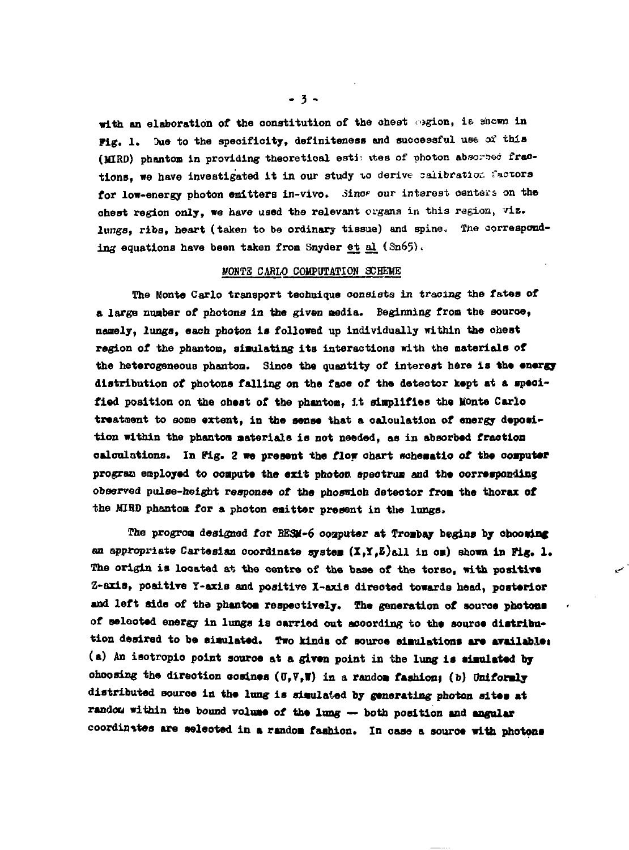**with an elaboration of the constitution of the ohest '»gion, ie. shown in** Fig. 1. Due to the specificity, definiteness and successful use of this (MIRD) phantom in providing theoretical esti: tes of photon absorbed fractions, we have investigated it in our study to derive calibration factors for low-energy photon emitters in-vivo. Since our interest centers on the **ohest region only, we have used the relevant organs in this ragion, viz. lungs, ribs, heart (taken to be ordinary tissue) and spine. The corresponding equations have been taken from Snyder et al (Sn65)<**

## **MO»TB CARLO COMPOTATIOS SCHEME**

**The Monte Carlo transport technique consists in tracing the fates of a large number of photons in the given media. Beginning from the souroe, namely, lungs, each photon is followed up individually within the ohest region of the phantom, simulating its interactions with the materials of the heterogeneous phanton. Since the quantity of interest here is the energy distribution of photons falling on tha face of the deteotor kept at a speoifiod position on the ohest of the phantom, it simplifies tho Monte Carlo** treatment to some extent, in the sense that a calculation of energy deposi**tion within the phanton materials is not needed, as in absorbed fraction calculations. In Fig. 2 we present tha flow chart schematic of the computer** program employed to compute the exit photon spectrum and the corresponding **observed pulse-height response of the phoswioh deteotor from the thorax of the MIHO phantoa for a photon emitter present in the lungs.**

**The progrom designed for BSSK-6 ooaputer at Trombay begins by choosing an appropriate Cartesian coordinate system (X,Y,Z)&11 in om) shown in Fig. 1. The origin is located at the centre of the base of the torso, with positive Z-axis, positive T-axis and positive X-axis direoted towards head, posterior and left side of tha phantoa respectively. The generation of source photons of selooted energy in lungs is carried out according to the source distribution desired to be simulated. Two kinds of souroe simulations are availablei (a) An isotropio point souroe at a given point in the lung is simulated by** choosing the direction cosines  $(0,\nabla,\mathbf{W})$  in a random fashion; (b) Uniformly distributed source in the lung is simulated by generating photon sites at **random within tho bound volume ot the lung — both position and angular coordinates are seleoted in a random fashion. In case a souroe with photons**

 $\mathcal{L}$ 

**- 3 -**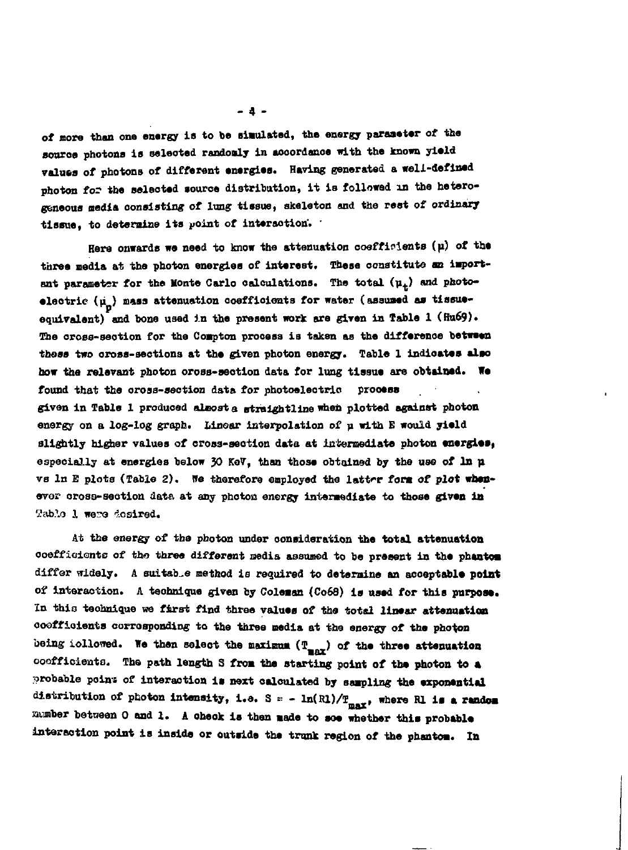**of more than one energy is to be simulated, the energy paraaeter of the Bouroe photons is seleoted randomly in aooordanoa with the known yield** values of photons of different energies. Having generated a well-defined **photon for the seleoted source distribution, it is followed in the heterogeneous media consisting of lung tissue, skeleton and the rest of ordinary tissue, to deteraine its point of interaction'. \***

Here onwards we need to know the attenuation coefficients (µ) of the three media at the photon energies of interest. These constitute an important parameter for the Monte Carlo calculations. The total  $(\mu_t)$  and photoelectric  $(\mu_n)$  mass attenuation coefficients for water (assumed as tissueequivalent) and bone used in the present work are given in Table 1 (Hu69). **The oross-seotion for the Coapton process is taken as the difference between those two oross-seotions at the given photon energy. Table 1 indicates also** how the relevant photon oross-section data for lung tissue are obtained. We **found that the orosa-section data for photoelectric prooess given in Table 1 produced aleoat a straightllne when plotted against photon energy on a log-log graph. Linear interpolation of p with E would yield slightly higher values of cross-section data at intermediate photon energies, especially at energies below JO Ko7, than those obtained by the use of In n vs In E plots (Table 2). We therefore employed the lattrr fora of plot whenevo? oross-seotion data at any photon energy interaediate to those given in** Table 1 were desired.

**At the energy of tho photon under consideration the total attenuation ooeffiaients of tho three different media assumed to be present in the phentoa differ widely. A suitable method is required to deteroine an acceptable point of interaction. A technique given by Coleaan (Co68) is used for this purpose. In this technique we first find three values of the total linear attenuation coefficients oorroaponding to the three media at the energy of the photon** being iollowed. We then select the maximum  $(T_{max})$  of the three attenuation **coefficients. The path length 3 froa the starting point of the photon to a** probable point of interaction is next calculated by sampling the exponential distribution of photon intensity, i.e.  $S = -\ln(R)/T_{max}$ , where Rl is a random **number between 0 and 1. A oheok is then Bade to soe whether this probable interaction point is inside or outside the trunk region of the phantoa. In**

**- 4 -**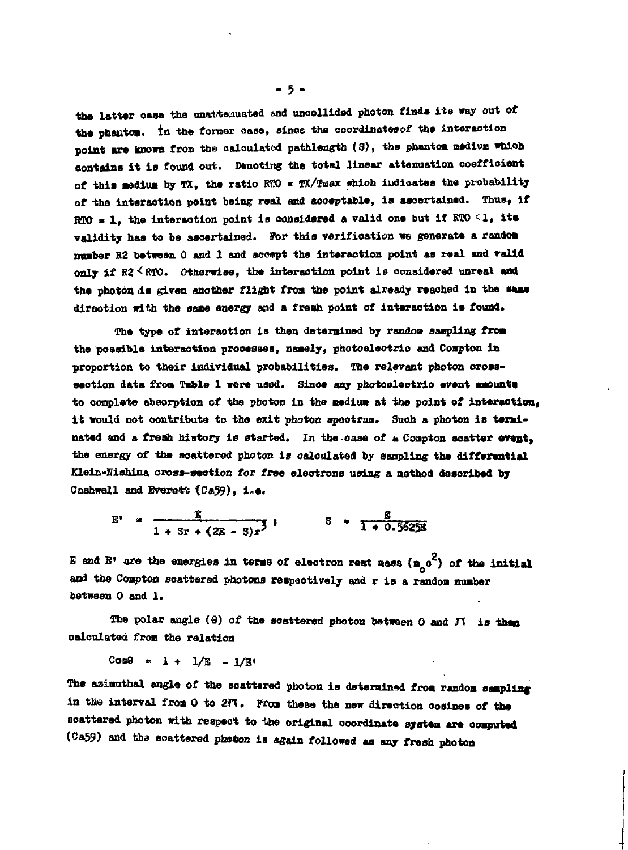**the latter oase the unattaauated and unoollided photon finds its way out of the phaatoa. in the foraar oase, since the coordinatesof the interaction point are known from tho oaloulated pathlength (3), the phantoa medium which oontains it is found out.. Denoting the total linear attenuation coefficient of this Bedim by TX, the ratio MX) » TX/Tmax which iudioates the probability of the interaction point being real and aooeptable, is ascertained. Thus, if**  $RTO = 1$ , the interaction point is considered a valid one but if  $RTO \leq 1$ , its **validity has to be ascertained. For this verification we generate a random** number R2 between 0 and 1 and accept the interaction point as real and valid only if R2 < RTO. Otherwise, the interaction point is considered unreal and the photon is given another flight from the point already reached in the same **direction with the sane energy and a fresh point of interaotion is found\***

**The type of interaotion is then determined by randoa sampling froa the possible interaction processes, nanely, photoelectric and Coapton in proportion to their Individual probabilities. The relevant photon orosaseotion data froa Table 1 were used. Sinoe any photoeleotric event aaounta to oomplete absorption cf the photon in the nediua at the point of interaction, it would not contribute to the exit photon spootrua. Suob a photon is terainated and a fresh history is started. In the case of a Coapton soatter event, the energy of the scattered photon is oalculated by sampling the differential Kleit-Hiahina cross-aeotion for tv^a eleotrons using a aethod desoribed by Ccshwell and Everett (C«59), i.e.**

$$
E' = \frac{2}{1 + 3r + (2E - 3)r^3}
$$
 3 =  $\frac{2}{1 + 0.5625}$ 

E and E' are the energies in terms of electron rest mass (m<sub>a</sub>c<sup>2</sup>) of the initial **and the Coapton scattered photons respectively and r is a randoa nuaber between 0 and 1.**

**The polar angle (9) of the scattered photon between 0 and** *rt* **is than calculated fron the relation**

**Cos9 « 1 + 1/E - 1/E«**

The azimuthal angle of the soattered photon is determined from random sampling in the interval from 0 to 2fT. From these the new direction cosines of the **soattered photon with respeot to lihe original coordinate systea are ooaputed (Ca59) and tha aoattered photon is again followed as any fresh photon**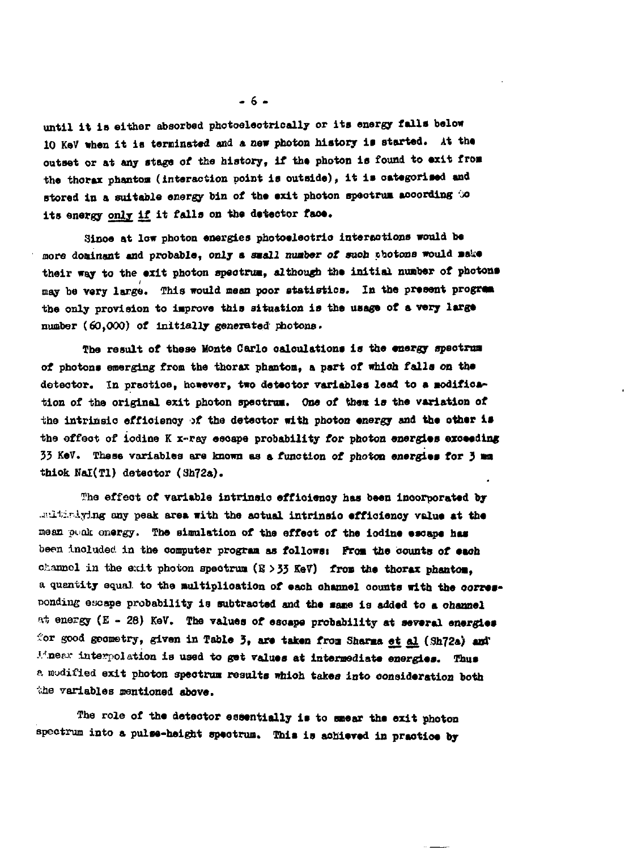**until it is either absorbed photoeleotrieally or its energy falls below 10 KeV when it is terminated and a new photon history is started. At the outset or at any stage of the history, if the photon is found to exit from the thorax phantoa (interaction point is outside), it is oategorised and** stored in a suitable energy bin of the exit photon spectrum according  $\infty$ **its energy only if it falls on the deteetor face.**

**Since at low photon energies photoeleotrio interactions would be more dominant and probable, only a saall nuaber of suoh photons would sake their way to the exit photon apeotrua, although the initial nuaber of photons may be very large. This would mean poor statistics. In the present progre» the only provision to iaprova this situation is the usage of a very large number (60,000) of initially genera tad photons.**

**The result of these Monte Carlo calculations is the energy apeotrua of photons emerging from the thorax phantoa, a part of which falls on the** detector. In practice, however, two detector variables lead to a modification of the original exit photon spectrum. One of them is the variation of **the intrinsic effioienoy it the detector with photon energy and the other la the effect of iodine K x-ray esoape probability for photon energies exceeding 33 KeV. These variables are known as a function ot photon energies for 3 an thiok Hal(Tl) deteotor (3h72a).**

**?ha effect of variable intrinsio effioienoy has been incorporated by .^ai:.r.lying any peak area with the actual intrinsio effioienoy value at the** mean pank energy. The simulation of the effect of the iodine escape has been inoluded in the computer program as follows: From the counts of each **channol in the exit photon apeotrua (B >33 KeV) froa the thorax phantoa, a quantity equal to the multiplication of eaoh channel oounts with the oorres**ponding escape probability is subtracted and the same is added to a channel **at, energy (E - 28) KeV. The values of esoape probability at several energies** for good geometry, given in Table 3, are taken from Sharma et al (Sh72a) and *Minesw interpolation is used to get values at intermediate energies. Thus* **a modified exit photon speotrua results whioh takes into consideration both the variables mentioned above.**

**The role of the deteotor essentially is to saear the exit photon spectrum into a pulse-height epeotrun. This is achieved in praotioe by**

**- 6 -**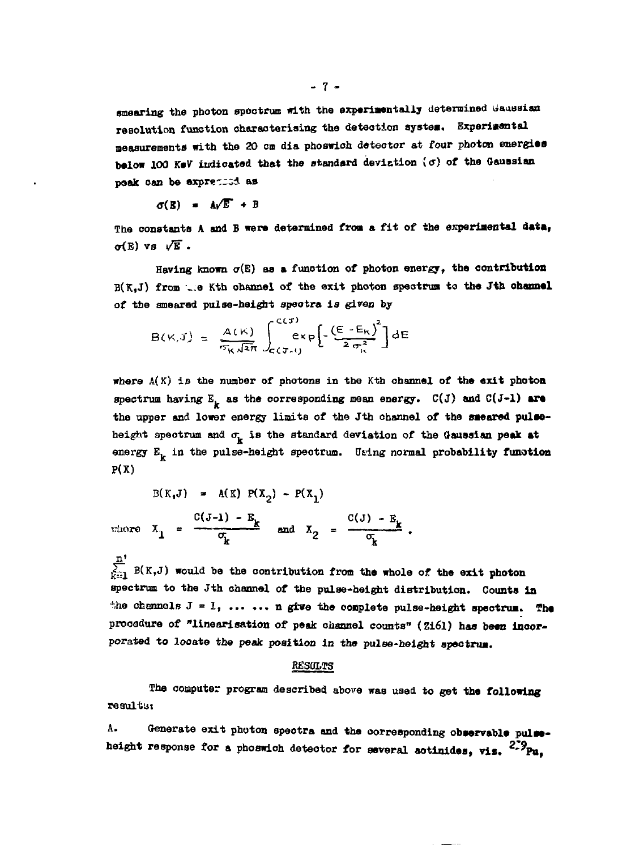smearing the photon spectrum with the experimentally determined Gaussian resolution function characterising the detection system. Experimental **measurements with the 20 en dia phoswioh detector at four photon energies below 100 K«V indicated that the standard deviation \ff) of the Caussian paalc oan be express:! as**

$$
\sigma(\mathbf{E}) = \mathbf{A}\sqrt{\mathbf{E}} + \mathbf{B}
$$

The constants A and B were determined from a fit of the experimental data.  $\sigma(E)$  vs  $\sqrt{E}$ .

Having known  $\sigma(E)$  as a function of photon energy, the contribution **B(K,J) from —a Kth channel of the exit photon speotrun to the Jth ohaanel of the smeared pulse-height speotra is** *given* **by**

$$
B(\kappa, J) = \frac{A(\kappa)}{\tau_{\kappa} \sqrt{2\pi}} \int_{c(J-1)}^{c(J)} exp \left[ -\frac{\left(E - E_{\kappa}\right)^{2}}{2 \sigma_{\kappa}^{2}} \right] dE
$$

**where A(K) is the number of photons in the Kth channel of the exit photon** spectrum having  $E_{\mu}$  as the corresponding mean energy.  $C(J)$  and  $C(J-1)$  are the upper and lower energy limits of the Jth channel of the smeared pulseheight spectrum and  $\sigma_{\mathbf{k}}$  is the standard deviation of the Gaussian peak at energy E<sub>L</sub> in the pulse-height spectrum. Using normal probability function **P(X)**

 $B(K, J) = A(K) P(X_2) - P(X_1)$  $C(J-1) - E_L$   $C(J) - E$ where  $X_1 = \frac{1}{2}$  and  $X_2 = \frac{1}{2}$ .

 $\frac{\pi}{\sqrt{2}}$  B(K,J) would be the contribution from the whole of the exit photon **spectrum to the Jth channel of the pulse-height distribution. Counts in** the channels  $J = 1$ , ... ... n give the complete pulse-height spectrum. The procedure of "linearisation of peak channel counts" (Zi6l) has been incor**porated to looate the peak position in the pulse-height** *spectrum.*

## **RESULTS**

**The computer program described above was used to get the following re suit us**

A. Generate exit photon spectra and the corresponding observable pulse**height response for a phoawich detector for several aotinides, vis. <sup>2</sup>"^Pu,**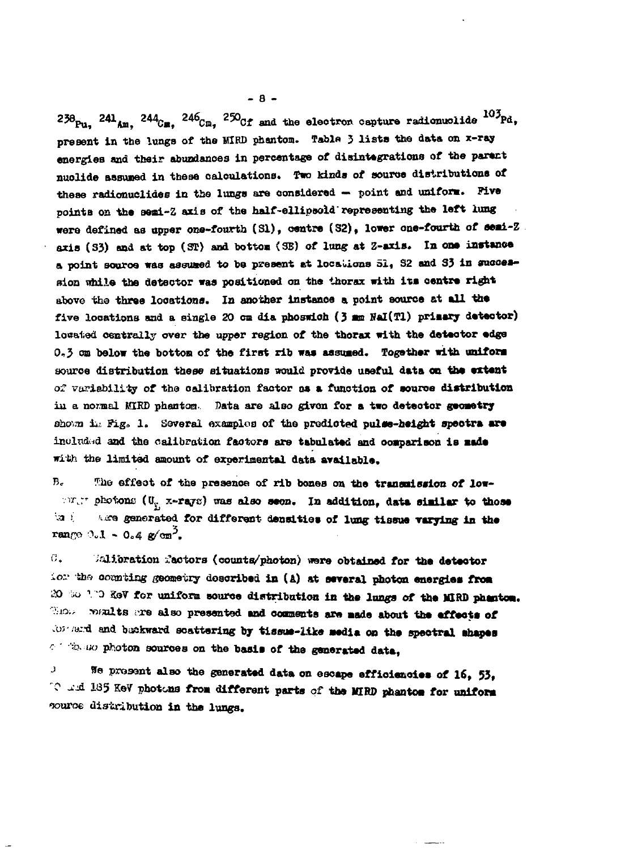$238_{\text{Pu}}$ ,  $241_{\text{Am}}$ ,  $244_{\text{Cu}}$ ,  $246_{\text{Cu}}$ ,  $250_{\text{Cf}}$  and the electron capture radionuclide  $103_{\text{Pd}}$ , present in the lungs of the MIRD phantom. Table 3 lists the data on x-ray energies and their abundances in percentage of disintegrations of the parent nuclide assumed in these calculations. Two kinds of source distributions of these radionuclides in the lungs are considered - point and uniform. Five points on the semi-Z axis of the half-ellipsold representing the left lung were defined as upper one-fourth (S1), centre (S2), lower one-fourth of semi-Z. axis (33) and at top (ST) and bottom (SE) of lung at Z-axis. In one instance a point source was assumed to be present at locations 51, S2 and S3 in succession while the detector was positioned on the thorax with its centre right above the three locations. In another instance a point source at all the five locations and a single 20 cm dia phoswich (3 mm NaI(Tl) primary detector) losated centrally over the upper region of the thorax with the detector edge 0.3 on below the bottom of the first rib was assumed. Together with uniform source distribution these situations would provide useful data on the extent of variability of the calibration factor as a function of source distribution in a normal MIRD phantom. Data are also given for a two detector geometry shown in Fig. 1. Several examples of the predicted pulse-height spectra are included and the calibration factors are tabulated and comparison is made with the limited amount of experimental data available.

 $B -$ The effect of the presence of rib bones on the transmission of low-Fig. and the conditions  $(U_{y_1} \times -rayc)$  was also seen. In addition, data similar to those ta i are generated for different densities of lung tissue varying in the range 0.1 - 0.4  $g/m^2$ .

Walibration Mactors (counts/photon) were obtained for the detector с. ion the counting geometry described in (A) at several photon energies from 20 So 100 ReV for uniform source distribution in the lungs of the MIRD phanton. However woults are also presented and comments are made about the effects of tor and and backward scattering by tissue-like media on the spectral shapes combined photon sources on the basis of the generated data,

We present also the generated data on escape efficiencies of 16, 53, J. 10 and 185 KeV photons from different parts of the MIRD phantom for uniform source distribution in the lungs.

 $-8-$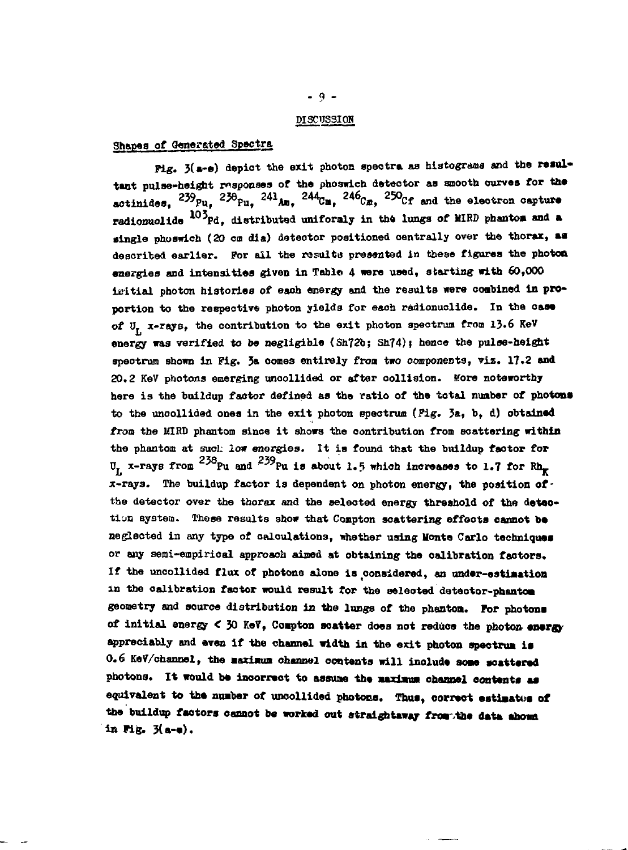#### **DISCUSSION**

## **Shapes of Generated Spectra**

**Pig.** 3(a-e) depict the exit photon speotra as histograms and the resultant pulse-height responses of the phoswich detector as smooth curves for the actinides, <sup>239</sup>Pu, <sup>238</sup>Pu, <sup>241</sup>Am, <sup>244</sup>Cm, <sup>240</sup>Cm, <sup>230</sup>Cf and the electron capture **radionuolide l0'pd, distributed uniformly in the lungs of WR D phantoa and a dingle phoswich (20 cm dia) deteotor positioned centrally over the thorax, aa desoribed earlier. For all the results presented in these figures the photon** energies and intensities given in Table 4 were used, starting with 60,000 initial photon histories of each energy and the results were combined in pro**portion to the respective photon yields for each radionuolide. In the case ot Ut x-rays, the contribution to the exit photon spectrum from 13.6 KeV energy was verified to be negligible (Sh72b; Sh74)» hence the pulse-height spectrum shown in Fig. 3» oomes entirely froa two components, viz. 17.2 and 20.2 KeV photons emerging unoollided or after oollision. More noteworthy** here is the buildup factor defined as the ratio of the total number of photons **to the uncollided ones in the exit photon spectrum (Pig. 3a, b, d) obtained from the MIRD phantom since it shows the contribution from scattering within** the phantom at such low energies. It is found that the buildup factor for U<sub>r</sub> x-rays from  $^{238}$ Pu and  $^{239}$ Pu is about 1.5 which increases to 1.7 for Rh<sub>p</sub> **x-rays. The buildup factor is dependent on photon energy, the position ofthe detector over the thorax and the selected energy threshold of the deteo**tion system. These results show that Compton scattering effects cannot be neglected in any type of calculations, whether using Monte Carlo techniques **or any semi-empirical approach aimed at obtaining the oalibration faotors. If the uncollided flux of photons alone is considered, an undar-estiaation in the calibration faotor would result for the selected detector-phantom geometry and source distribution in the lungs of the phantoa. For photona of initial energy < 30 KeV, Coapton scatter does not reduce the photon enargy appreciably and even if the channel width in the exit photon spectrum is 0.6 KeV/ohannel, the aaxiaua channel contents will inoluda soae aoattarad** photons. It would be incorrect to assume the maximum channel contents as equivalent to the number of uncollided photons. Thus, correct estimates of **the buildup faotors cannot ba worked out straightaway froa .the data ahown ia Fig. 3(a-a).**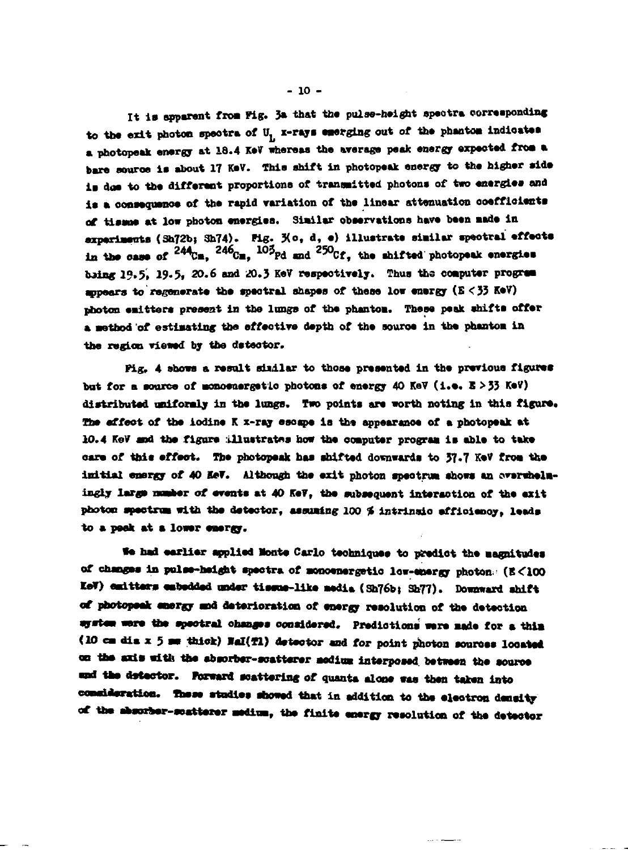It is apparent from Fig. 3a that the pulse-height spectra corresponding to the exit photon spectra of U<sub>1</sub> x-rays emerging out of the phantom indicates a photopeak energy at 18.4 KeV whereas the average peak energy expected from a bare source is about 17 KeV. This shift in photopeak energy to the higher side is doe to the different proportions of transmitted photons of two energies and is a consequence of the rapid variation of the linear attenuation coefficients of tissue at low photon energies. Similar observations have been made in experiments (Sh72b; Sh74). Fig. Xo, d, e) illustrate similar spectral effects in the case of  $^{244}$ Cm.  $^{246}$ Cm.  $^{105}$ Pd and  $^{250}$ Cf. the shifted photopeak energies bring 19.5, 19.5, 20.6 and 20.3 KeV respectively. Thus the computer progress appears to regenerate the spectral shapes of these low energy (E < 33 KeV) photon emitters present in the lungs of the phantom. These peak shifts offer a method of estimating the effective depth of the source in the phantom in the region viewed by the detector.

Pig. 4 shows a result similar to those presented in the previous figures but for a source of monoenergetic photons of energy 40 KeV (i.e. E > 33 KeV) distributed uniformly in the lungs. Two points are worth noting in this figure. The affect of the iodine K x-ray escape is the appearance of a photopeak at 10.4 KeV and the figure illustrates how the computer program is able to take care of this effect. The photoneak has shifted downwards to 37.7 KeV from the initial energy of 40 MeV. Although the exit photon spectrum shows an overwhelmingly large number of events at 40 KeV, the subsequent interaction of the axit photon spectrum with the detector, assuming 100 % intrinsic efficiency, leads to a posk at a lower energy.

We had earlier applied Monte Carlo techniques to predict the magnitudes of changes in pulse-height spectra of monoenergetic low-energy photon: (E<100 KeV) emitters embedded under tissue-like media (Sh76b; Sh77). Downward shift of photopeak emergy and deterioration of energy resolution of the detection system were the spectral changes considered. Predictions were made for a thin (10 cm dis x 5 mm thick) NaI(T1) detector and for point photon sources located on the axis with the absorber-scatterer modium interposed between the source and the detector. Forward scattering of quanta alone was then taken into consideration. These studies showed that in addition to the electron density of the absorber-scatterer medium, the finite energy resolution of the detector

 $-10 -$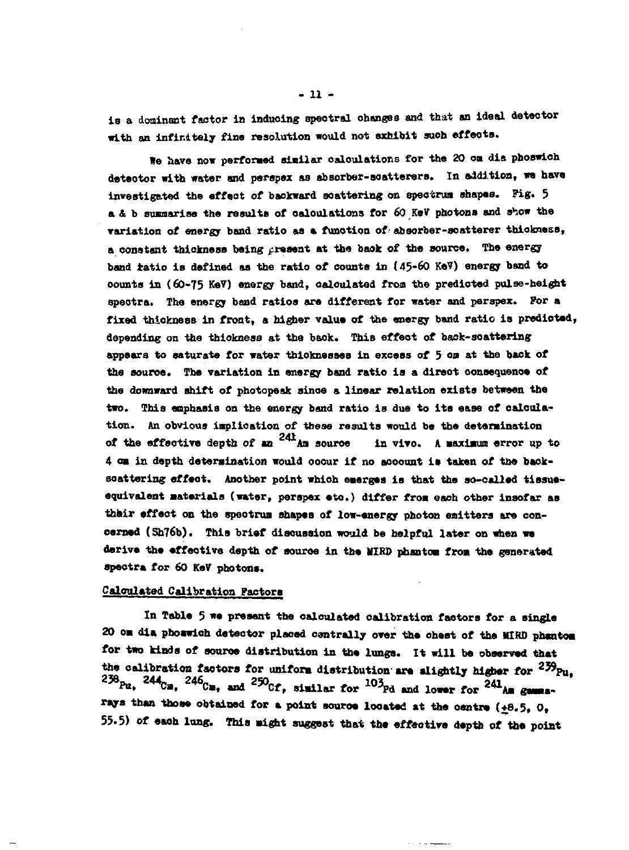**ls a dominant factor in induoing spectral changes and that an ideal detector with an infinitely fine resolution would not sxhibit such effects.**

**We have now performed similar calculations for the 20 oa dia phoswioh detector with water and perspex as absorber-soatterers. In addition, we have investigated the effect of backward scattering on spectrum shapes. Pig. 5 a & b sumiarise the results of calculations for 60 KeV photons and show the variation of energy band ratio as a funotion of • absorber-soatterer thickness, a constant thickness being present at the baok of the source. The energy band ratio is defined as the ratio of counts In (45-60 KeV) energy band to oounts in (60-75 KeV) energy band, calculated from the predicted pulse-height spectra. The energy band ratios are different for water and parspex. For a fixed thickness in front, a higier value of the energy band ratio is predicted, depending on the thickness at the baok. This effect of baok-soatteriag appears to saturate for water thicknesses in excess of 5<sup>o</sup> a a <sup>t</sup> \*h<sup>a</sup> hack of the source. The variation in energy band ratio is a direot consequence of the downward shift of photopeak since a linear relation exists between the two. This enphasis on the energy band ratio is due to its ease of calcula**tion. An obvious implication of these results would be the determination of the effective depth of an <sup>241</sup> An source in vivo. A maximum error up to **4 oa in depth determination would ooour if no account is taken of the baoksoattering effeat. Another point which emerges is that the so-called tissueequivalent Materials (water, perspex eto.) differ froa each other insofar as thair effect on the speotrua shapes of low-energy photon eaitters are concerned (Sh76b). This brief discussion would be helpful later on when we derive the effective depth of souroe in the KIRD phantoa froa the generated spectra for 60 KeV photons.**

## **Calculated Calibration Factors**

**In Table 5 we present the calculated calibration factors for a single 20 oa dia phoswioh detector plaoed oentrally over the chest of the MIRD phantom for two kinds of souroe distribution in the lungs. It will be observed that the calibration factors for unifora distribution are slightly higher for <sup>239</sup>Pu,**  $2^{250}$ Pu,  $2^{44}$ Ca,  $2^{40}$ Ca, and  $2^{50}$ Cf, similar for  $10^{3}$ Pd and lower for  $241$ A- gauss **rays than those obtained for a point souroe located at the oentre (+8.5, 0, 55.5) of eaoh lung. This might suggest that the effective depth of the point**

**-Il -**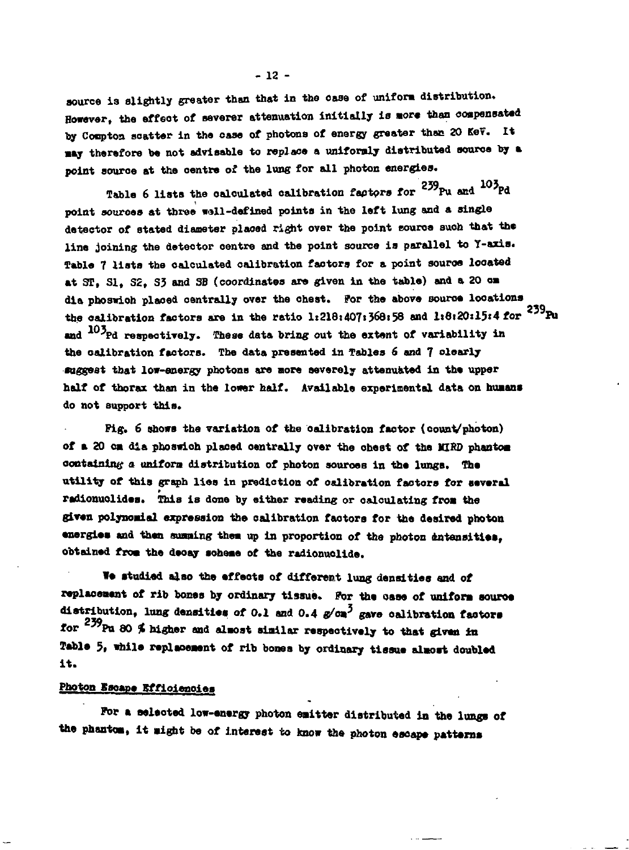source is slightly greater than that in the case of uniform distribution. However, the effect of severer attenuation initially is more than compensated by Compton scatter in the case of photons of energy greater than 20 KeV. It may therefore be not advisable to replace a uniformly distributed source by a point source at the centre of the lung for all photon energies.

Table 6 lists the calculated calibration factors for <sup>239</sup>Pu and <sup>103</sup>Pd point sources at three well-defined points in the left lung and a single detector of stated diameter placed right over the point source such that the line joining the detector centre and the point source is parallel to Y-axis. Table 7 lists the calculated calibration factors for a point source located at ST, S1, S2, S3 and SB (coordinates are given in the table) and a 20 cm dia phoswich placed centrally over the chest. For the above source locations the calibration factors are in the ratio 1:218:407:368:58 and 1:8:20:15:4 for  $^{239}$ Pu and <sup>103</sup>Pd respectively. These data bring out the extent of variability in the calibration factors. The data presented in Tables 6 and 7 clearly suggest that low-energy photons are more severely attenuated in the upper half of thorax than in the lower half. Available experimental data on humans do not support this.

Fig. 6 shows the variation of the calibration factor (count/photon) of a 20 cm dia phoswich placed centrally over the chest of the MIRD phantom containing a uniform distribution of photon sources in the lungs. The utility of this graph lies in prediction of calibration factors for several radionuclides. This is done by either reading or calculating from the given polynomial expression the calibration factors for the desired photon energies and then summing them up in proportion of the photon dutensities. obtained from the decay scheme of the radionuclide.

We studied also the effects of different lung densities and of replacement of rib bones by ordinary tissue. For the case of uniform source distribution. lung densities of 0.1 and 0.4  $x/\sigma x^3$  gave calibration factors for <sup>239</sup>Pu 80 % higher and almost similar respectively to that given in Table 5, while replacement of rib bones by ordinary tissue almost doubled it.

# Photon Escape Efficiencies

For a selected low-energy photon emitter distributed in the lungs of the phantom. It might be of interest to know the photon escape patterns

 $-12 -$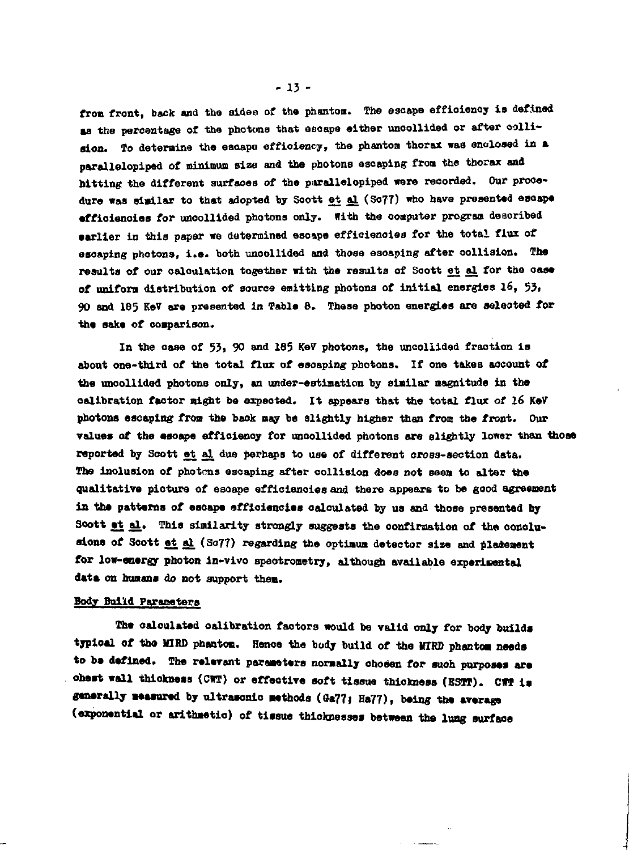**fron front, back and the aidea of the phantom. The escape effioienoy is defined aa the percentage of the photons that asoaps either unoollided or after oollialon. To determine the eaaape efficiency, the phantom thorax was enclosed in a parallelopiped of minimum size and tbe photons escaping froa the thorax and bitting the different surfaces of the parallelopiped were recorded. Our procedure was similar to that adopted by Soott et al (SoT7) who have presented escape efficiencies for unoollided photons only. With the computer program described earlier in this paper we determined escape effioienoiea for the total flux of escaping photons, i.e. both unoollided and those escaping after collision. The results of our calculation together with the results of Soott et al for the case of uniform distribution of source emitting photona of initial energies 16, 53» 90 and 185 KeV are presented in Table 8. These photon energies are seleoted for the sake of comparison.**

**In the case of 53, 90 and 185 KeV photons, tbe uncollided fraction is about one-third of the total flux of esoaping photona. If one takes account of tbe uncollided photons only, an under-estioation by similar magnitude in the calibration factor night be expeoted. It appears that the total flux of 16 KeV photona escaping- fron the back may be slightly higher than from the front. Our values of the esoape effioienoy for unoollided photons are slightly lower than thoa reported by Soott et al due perhaps to use of different oross-section data. The inolusion of photons escaping after collision does not seen to alter the qualitative picture of esoape efficiencies and there appears to be good agreement in the patterns of eaoape efficiencies calculated by ua and thoae preaented by** Soott <u>at al</u>. This similarity strongly suggests the confirmation of the conclu**aiona of Soott et al (S077) regarding the optimum detector sise and placement for low-energy photon in-vivo speotronetry, although available experimental** data on humans do not support them.

## **Body Build Parameters**

**The oaloulated calibration factors would be valid only for body builds typioal of tho KIRS phantom. Henoe the body build of the KIRS phantom needs to b» defined. The relevant parameters normally chosen for suoh purposes are oheat wall thiokness (CWT) or effective soft tissue thiokness (BSTT). CUT is** generally measured by ultrasonic methods (Ga77; Ha77), being the average (exponential or arithmetic) of tissue thicknesses between the lung surface

**- 13 -**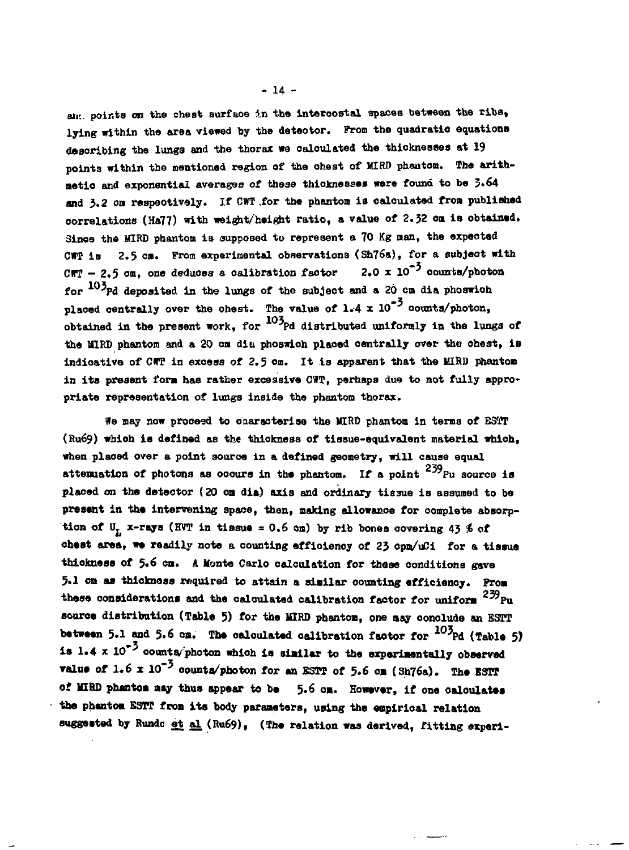**air. points on the cheat surfaoe in the intercostal spaces between the ribs, Xying within the area viewed by the deteotor. Prom the quadratic equations describing the lungs and the thorax we calculated the thioknesaea at 19 points within the mentioned region of the chest of MIRD phaaton. The arithnetio and exponential averages of these thicknesses were found to be 3-64 and 3.2 on respaotively. If CWT .for the phanton is calculated frou published correlations (Ha77) with weight/height ratio, a value of 2.32 on in obtained. Sines the MIRD phantom is supposed to represent a 70 Kg nan, the expected CWT Is 2.5 ca. From experimental observations (Sh76a), for a eubjeot with CUT - 2.5 on, one deduces a calibration factor 2.0 x 10\*<sup>5</sup> counts/photon for 1O'pd deposited in the lungs of the subject and a 20 cm dia phoawioh** placed centrally over the chest. The value of  $1.4 \times 10^{-5}$  counts/photon, **obtained in the present work, for \*Pd distributed uniformly in the lungs of the MIRD phantom and a 20 on diu phoBwioh ptaoed centrally over the ohest, is indicative of CrP in excess of 2.5 cm. It is apparent that the MIRD phantom** in its present form has rather excessive CWT, perhaps due to not fully appro**priate representation of lungs inside the phantom thorax.**

**We may now proceed to onaracterise the MIRD phantom in terms of E3TT (Ru69) which is defined as the thickness of tissue-equivalent material whioh, when placed over a point source in a defined geometry, will cause equal** attenuation of photons as occurs in the phantom. If a point <sup>239</sup>Pu source is **placed on the deteotor (20 cm dia) axis and ordinary tissue is assumed to be** present in the intervening space, then, making allowance for complete absorption of  $U_r$  x-rays (HVT in tissue = 0.6 om) by rib bones covering 43  $\frac{2}{3}$  of **ohest area, we readily note a counting efficiency of 23 cpm/uCi for a tissue thickness of 5.6 cm. A Monte Carlo calculation for these conditions gave 5.1 om as thicknoss required to attain a similar counting efficiency. Prom these considerations and the calculated calibration factor for uniform <sup>2</sup> ^ P u** source distribution (Table 5) for the MIRD phantom, one may conclude an ESTT **between 5.1 and 5.6 cm. The oaloulated calibration factor for I05 Pd (Table 5)** is 1.4 x 10<sup>\*3</sup> counts/photon which is similar to the experimentally observed **value of 1.6 x 10<sup>-3</sup> counta/photon for an ESTT of 5.6 om (Sh76a). The ESTT oi lHHD phantom may thus appear to be 5.6 om. However, if one oaloulates -the phantom ESTT from its body parameters, using the empirical relation suggested by Rundc et al (Ru69), (The relation was derived, fitting expert-**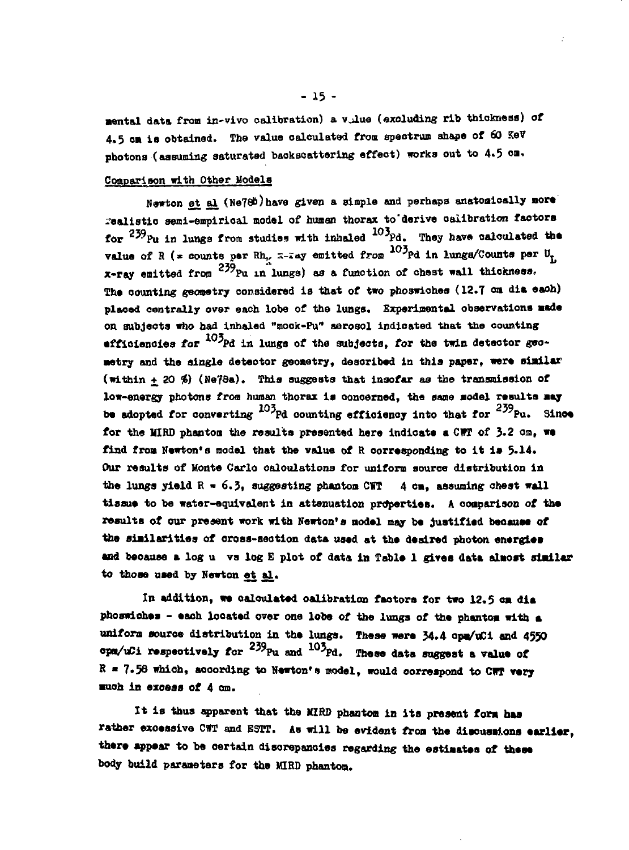**aental data from in-vivo calibration) a vilue (excluding rib thickness) of 4.5 cm is obtained. The value calculated from spectrum shape of 60 KeV photons (assuming saturated baokscattering effect) works out to 4.5 cm.**

## **Comparison with Other Models**

**Bewton et al (Ne78b)have given a simple and perhaps anatomically more -aaliatio semi-empirioal model of human thorax to'derive oaiibration faotors for <sup>259</sup>Pu in lungs from studies with inhaled 1O'pd. They have calculated the value of R (\* counts par Rh,** *z***-zay emitted from <sup>100</sup>Pd in lunge/Counts par U<sub>t</sub> x-ray emitted from <sup>2</sup>^Pu in lunga) aa a funotion of ehe3t wall thickness, The counting geometry considered is that of two pho3wichea (12.7 em dia eaoh) plaoed centrally over eaoh lobe of the lungs. Experimental observations aade on subjects who had inhaled "mook-Pu" aerosol indicated that the counting efficiencies for 1O'pd in lungs of the subjects, for the twin deteotor geometry and the single deteotor geometry, described in this paper, were similar (within + 20** *<f)* **(Ne7da). This suggests that insofar as the transmission of low-energy photons from human thorax is oonoerned, the same aodel results may be adopted for converting**  $^{103}$ **Pd counting efficiency into that for**  $^{239}$ **Pu. Since for the UIRO phantoa the results presented here indicate a CVT of 3.2 om, we** find from Newton's model that the value of R corresponding to it is 5.14. **Our results of Monte Carlo oaloulationa for uniform source distribution in** the lungs yield  $R = 6.3$ , suggesting phantom CWT  $4$  cm, assuming chest wall **tissue to be water-equivalent in attenuation properties. A comparison** *ot* **the results of our present work with Newton\****a* **model may be justified becauee of the siailarities of cross-section data used at the desired photon energies** and because a log u vs log E plot of data in Table 1 gives data almost similar **to those used by Newton et al.**

**In addition, we calculated calibration faotors for two 12.5 cm dia phoswiohes - eaoh located over one lobe of the lungs of the phantoa with a uniform source distribution in the lungs. These were J4.4 opa/uCi and 4550 opa/uCi respectively for <sup>239</sup>Pu and <sup>105</sup>Pd. These data suggest a valu« of**  $R = 7.58$  which, according to Newton's model, would correspond to CWT verv **auoh in exoess of 4 cm.**

It is thus apparent that the MIRD phantom in its present form has rather excessive CWT and ESTT. As will be evident from the discussions earlier, **there appear to be certain discrepancies regarding the estimates of these body build paraaeters for the MIRO phantom.**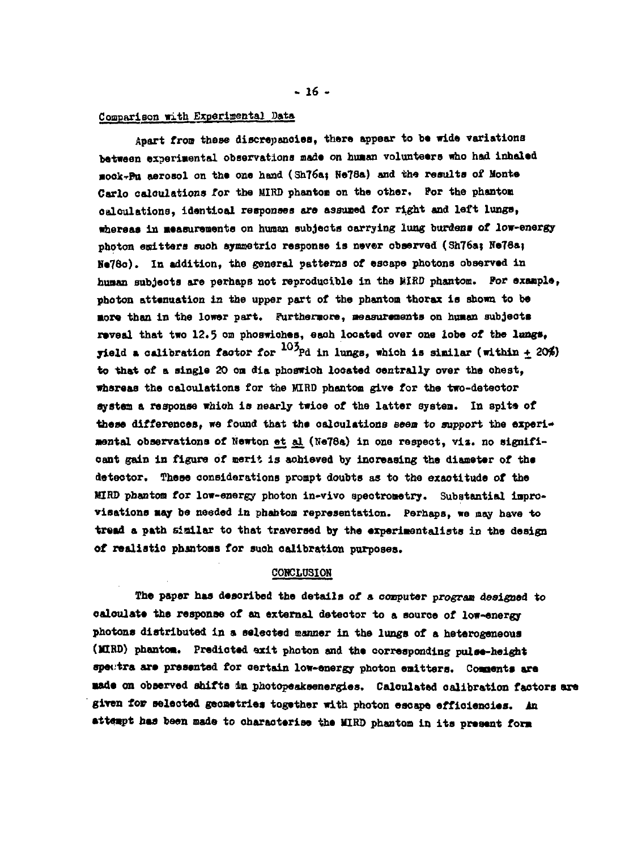#### **Comparison with Kxpariaental Data**

**Apart fron these discrepenoiea, there appear to b« wide variations between experimental observations made on huaan volunteers who had inhaled •ook-rPtt aerosol on the one hand (Sh76a; Ne78a) and the results of Monte Carlo oaloulations** *tor* **the MIRD phantom on the other. For the phanton calculations, identical responses are assumed for right and left lungs, whereas In Masurements on human subjeots carrying lung burdens of low-energy photon emitters ouoh symmetrlo response is never observed (Sh76a; He78a> Ne78o). In addition, the general patterns of esoape photons observed in huaan subjeots are perhaps not reproducible In the liIRD phantom. Por example, photon attenuation in the upper part of the phantom thorax is shown to be •ore than in the lower part. Furthermore, measurements on huaan subjeots reveal that two 12.5 on phoswiohes, each located over one lobe of the lungs, yield a calibration faotor for 1O'pd in lungs, which is sinilar (within + 20\$) to that of a single 20 on dla phoswioh located centrally over the chest, whereas the calculations for the MIRD phantom give for the two-detector systea a response which is nearly twioe of the latter systea. In spits of** these differences. we found that the calculations seem to support the experi**mental observations of Newton et al (Ne78a) in one respect, via. no signifioant gain in figure of merit is achieved by increasing the diameter of the detector. These considerations prompt doubts as to the exactitude of the MIRD phanton for low-energy photon in-vivo speotrometry. Substantial iaprovisationa may be needed in phantom representation. Perhaps, we may have to** tread a path sizilar to that traversed by the experimentalists in the design **of realistio pbjntoas for such calibration purposes.**

# **CONCLUSION**

**The paper has desoribed the details of a computer program designed to** oaloulate the response of an external detector to a source of low-energy **photons distributed in a selected manner in the lungs of a heterogeneous (WtRD) phantom. Predicted exit photon and the corresponding pulse-height spectra are presented for oertain low-energy photon emittera. Coaaenta are made on observed shifts 4n photopeaksenergias. Calculated calibration factors are given for selected geometries together with photon escape efficiencies, in attempt has been made to characterise the MIRO phantom in its present fora**

**- 16 -**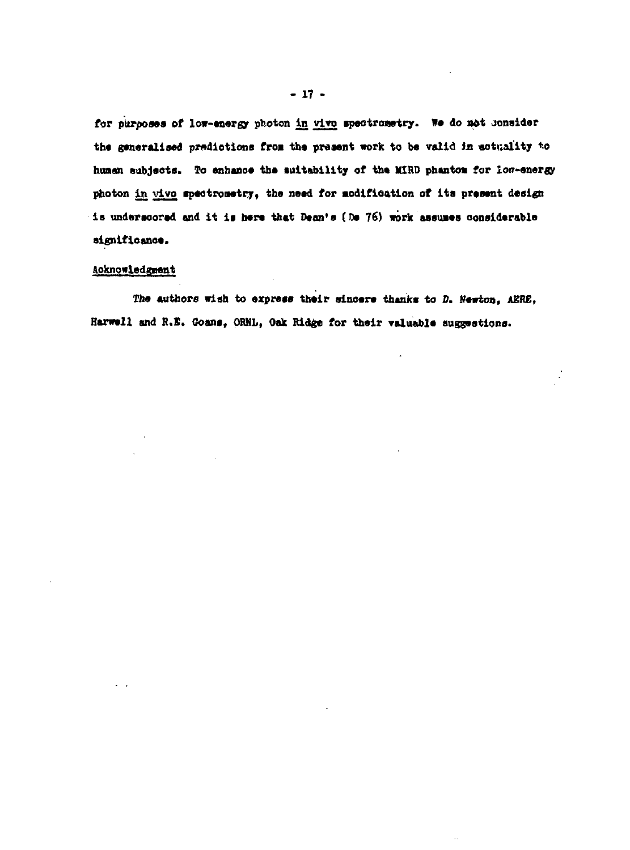for purposes of low-energy photon in vivo spectrosetry. We do not consider the generalised predictions from the present work to be valid in actuality to human subjects. To enhance the suitability of the MIRD phantom for low-energy photon in vivo spectrometry, the need for modification of its present design is underscored and it is here that Dean's (De 76) work assumes considerable significance.

## Acknowledgment

The authors wish to express their sincere thanks to D. Newton, AERE, Harwell and R.E. Goans, ORNL, Oak Ridge for their valuable suggestions.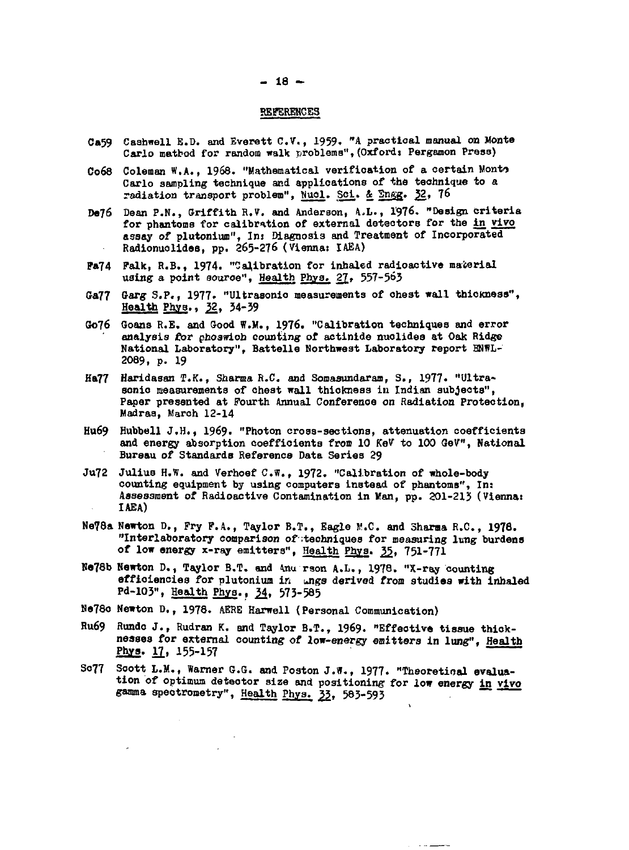#### **- 18 -**

#### **REFERENCES**

- **Ca59 Caahwell E.D. and Everett C.V., 1959. "A practica l manual on Monte** Carlo mathod for random walk problems", (Oxford: Pergamon Press)
- **C068 Coleman W.A., 1968. "Mathematical verificatio n of a certai n Monto Carlo sampling technique and applications of the technique to a** radiation transport problem", Nuol. Sci. & Engg. 32, 76
- **De76 Dean P.N., Griffith R.V. and Anderson, A,L., 1976. "Design Criteria for phantoms for calibration of external detectors for the in vivo assay of plutonium", Ins Diagnosis and Treatment of Incorporated** Radionuolides, pp. 265-276 (Vienna: IAEA)
- **P»74 Falk, R.B., 1974. "Calibration for inhaled radioactive material using a point aouroe", Health Phya. 2J» 557-563**
- **O«77 Garg S.P., 1977. "Ultrasonio measurements of ohest wall thickness",** Health Phys., 32, 34-39
- **Oo76 Goans R.E. and Good W.M., 1976. "Calibration techniques and error analysis for phoswioh counting of actinide nuolides at Oak Ridge National Laboratory", Battelle Northwest Laboratory report BNWL-2089, p. 19**
- **Ha77 Haridasan T.K., Sharma R.C. and Somaaundaram, S., 1977. "Ultrasonio measurements of chest wall thickness in Indian subjects", Paper presented at Fourth Annual Conference on Radiation Protection, Madras, March 12-14**
- **Hu69 Hubbell J.H., 1969. "Photon cross-sections, attenuation coefficients and energy absorption coefficients froa 10 KeV to 100 GeV", National Bureau of Standards Reference Data Series 29**
- **Ju72 Julius H.W. and Verhoef C.W., 1972. "Calibration of whole-body counting equipment by using computers instead of phantoms", In: Assessment of Radioactive Contamination in Kan, pp. 201-21} (Viennas IAEA)**
- **Ne78a Newton D., Pry P.A., Taylor B.T., Eagle** *V.C.* **and Sharma R.C., 1978. "Interlaboratory comparison of techniques for measuring lung burdens of low energy x-ray emitters", Health Phys. 3Jj, 75I-77I**
- **He78b Newton D., Taylor B.T. and 4nu rson A.L., 1978. "X-ray counting efficiencies for plutonium in ungs derived from studies with inhaled Pd-103", Health Phys.. J4, 573-585**
- **Ne78e Newton D., 1978. AERE Harwell (Personal Communication)**
- **Ru69 Rundo J., Rudran K. and Taylor B.T., 1969. "Effeotive tissue thiokneases for external counting of low-energy emitters in lung". Health Pb^s. 11, 155-157**
- So77 Soott L.M., Warner G.G. and Poston J.W., 1977. "Theoretical evalua**tion of optimum detector size and positioning for low energy in vivo gamma speotrometry", Health Phys. 33. 583-593 .**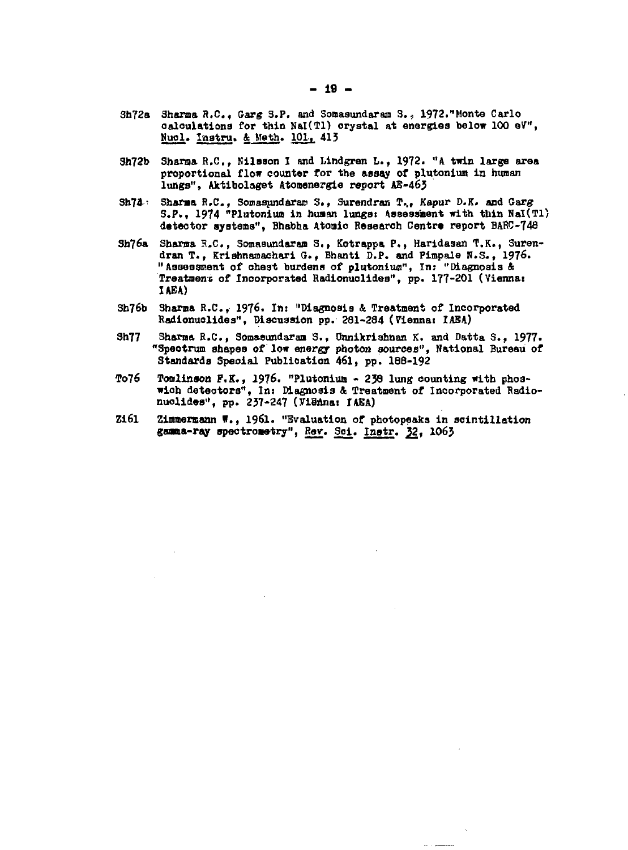- **Sh?2a Shanna R,C , Garg 3.P. and Somasundaram 3. , 1972."Monte Carlo calculations for thin Nal(Tl) orystal at energies below 100 eV", Hucl. Instru.** *k* **Math. 101, 413**
- **3h72b Shanja R.C., Nilsson I and Mndgren L., 1972. "a twin large area proportional flow counter for the assay of plutonium in human lungs", Aktibolaget Atomenergie report AE-46J**
- **3h79° Sharaa R.C., Somaaundararo S. , Surendran I<sup>1</sup> .., Kapur D.K. and G-arg S.P., 1974 "Plutonium in huaan lungst Assessment with tbin Nal(Tl) detector systems", Bhabba Atomic Research Centra report BaRC-748**
- **3h76a Sharna 5.C., Somaaundarsn Si, Kotrappa P., Haridasan T.K., Surendran T., KriBhnamachari G.***,* **Bhanti D.P. and Pimpale M.S., 1976. "Assessment of cheat burdens of plutonium", In: "Diagnosis** *k* Treatment of Incorporated Radionuclides", pp. 177-201 (Vienna: *ihBk)*
- **3h76b Shorn\* R.C., 1976. In: "Diagnosis** *k* **Treatment of Incorporated Radionuolides", Discussion pp. 381-384 (Viennai IABA)**
- **3h77 Sharna R.C., Somasundaram 5. , Onnikrishnan K. and Datta S., 1977. "Spectrum shapes of low energy photon sources", National Bureau of Standards Special Publication 461, pp. 188-192**
- **To76 Tomlinson P.K., 1976. "Plutoniuo 239 lung counting with phoswiob detectors", In: Diagnosis & Treatment of Incorporated Radionuolides", pp. 237-247 (TiBnnai IAEA)**
- **Zi6l Zinmeniann W., 1961. "Evaluation of photopeaks in scintillation** gamma-ray spectrometry", Rev. Sci. Instr. 32, 1063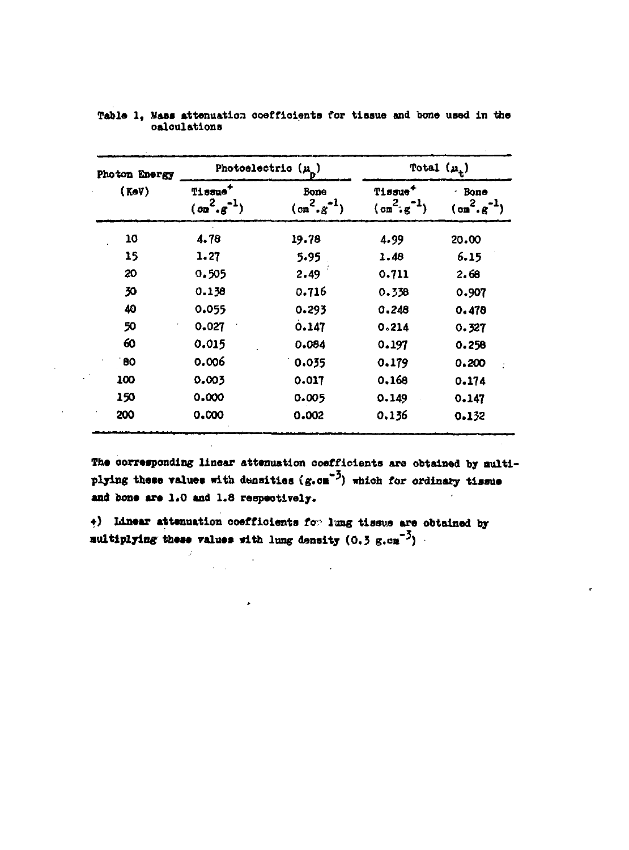| Photon Energy |                                                    | Photoelectric $(\mu_{\overline{D}})$ | Total $(\mu_t)$                                 |                                                 |  |
|---------------|----------------------------------------------------|--------------------------------------|-------------------------------------------------|-------------------------------------------------|--|
| (KeV)         | Tissue <sup>+</sup><br>$(\sigma m^2 \cdot g^{-1})$ | Bone<br>$(m^2, g^{-1})$              | Tissue <sup>+</sup><br>$(\text{cm}^2, \text{g}$ | · Bone<br>$(\circ {\tt m}^2, {\tt g})$<br>20.00 |  |
| 10            | 4.78                                               | 19.78                                | 4.99                                            |                                                 |  |
| 15            | 1.27                                               | 5.95                                 | 1.48                                            | 6.15                                            |  |
| 20            | 0.505                                              | 2.49                                 | 0.711                                           | 2.68                                            |  |
| 30            | 0.138                                              | 0.716                                | 0.338                                           | 0.907                                           |  |
| 40            | 0.055                                              | 0.293                                | 0.248                                           | 0.478                                           |  |
| 50            | 0.027                                              | 0.147                                | 0.214                                           | 0.327                                           |  |
| 60            | 0.015                                              | 0.084                                | 0.197                                           | 0.258                                           |  |
| 80            | 0.006                                              | 0.035                                | 0.179                                           | 0.200                                           |  |
| 100           | 0.003                                              | 0.017                                | 0.168                                           | 0.174                                           |  |
| 150           | 0.000                                              | 0.005                                | 0.149                                           | 0.147                                           |  |
| 200           | 0.000                                              | 0.002                                | 0.136                                           | 0.132                                           |  |

**Table 1, Mass attenuation coefficients for tissue and bone usad in the calculations**

**The corresponding linear attenuation coefficients are obtained by multi**plying these values with densities (g.om<sup>-3</sup>) which for ordinary tissue **and bans are 1.0 and 1.8 respectively.**

**•) Linear attenuation coefficients f0 • lung tissue are obtained by Multiplying these values with lung density (0.3 g.cn"<sup>3</sup> )**

 $\ddot{\phantom{0}}$ 

ï

 $\mathcal{L}^{\text{max}}$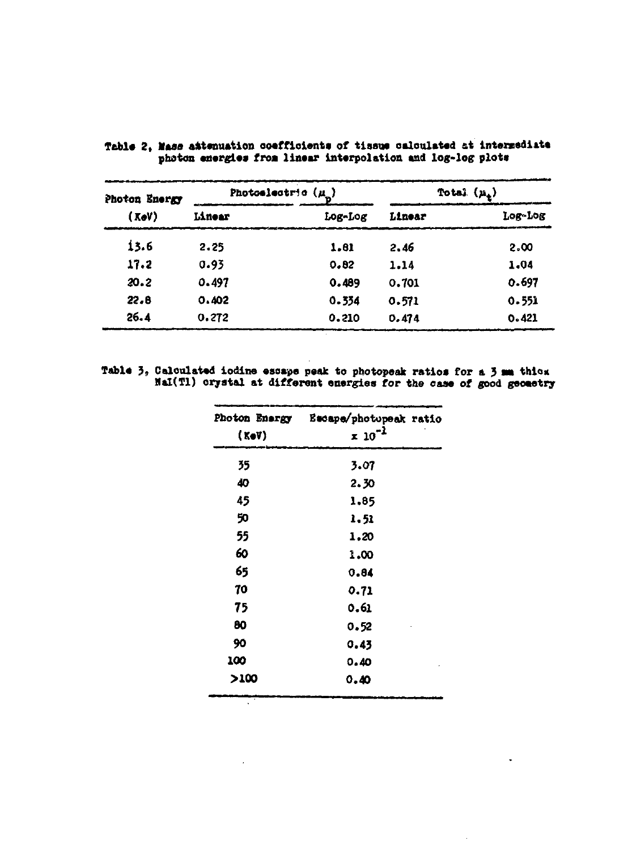| Photon Energy<br>(XoV) |        | Photoslectric $(\mu)$ |        | Total $(\mu_{\lambda})$ |
|------------------------|--------|-----------------------|--------|-------------------------|
|                        | Linear | Log-Log               | Linear | Log-Log                 |
| 13.6                   | 2.25   | 1.81                  | 2.46   | 2.00                    |
| 17.2                   | 0.93   | 0.82                  | 1.14   | 1.04                    |
| 20.2                   | 0.497  | 0.489                 | 0.701  | 0.697                   |
| 22.8                   | 0.402  | 0.334                 | 0.571  | 0.551                   |
| 26.4                   | 0.272  | 0.210                 | 0.474  | 0.421                   |

Table 2, Mass attenuation coefficients of tissue calculated at intermediate photon energies from linear interpolation and log-log plots

Table 3, Calculated iodine essape peak to photopeak ratios for a 3 **sm** thick **Mal(Tl) oryatal at different energies for the case of good geoaetrj**

| Photon Energy | Escape/photopeak ratio |
|---------------|------------------------|
| (KoV)         | $x 10^{-1}$            |
| 35            | 3.07                   |
| 40            | 2.30                   |
| 45            | 1,85                   |
| 50            | 1.51                   |
| 55            | 1,20                   |
| 60            | 1.00                   |
| 65            | 0.84                   |
| 70            | 0.71                   |
| 75            | 0.61                   |
| 80            | 0.52                   |
| 90            | 0.45                   |
| 100           | 0.40                   |
| >100          | 0.40                   |

 $\sim 10^{-10}$ 

 $\ddot{\phantom{a}}$ 

 $\ddot{\phantom{a}}$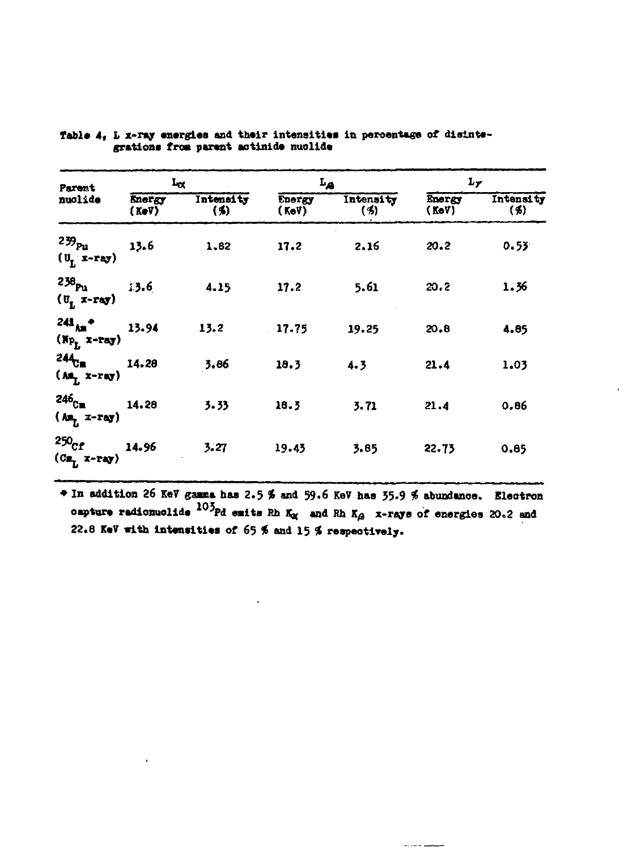| Parent<br>nuolide                                                                        | $L_{\alpha}$    |                  |                        | $L_{\mathcal{B}}$ | $L_{\gamma}$    |                  |
|------------------------------------------------------------------------------------------|-----------------|------------------|------------------------|-------------------|-----------------|------------------|
|                                                                                          | Energy<br>(KoV) | Intensity<br>(4) | <b>Energy</b><br>(KeV) | Intensity<br>(3)  | Energy<br>(KoV) | Intensity<br>(5) |
| $239_{\text{pu}}$<br>(U <sub>L</sub> x-ray)                                              | 13.6            | 1,82             | 17.2                   | 2.16              | 20.2            | 0.53             |
| 238 <sub>Pu</sub><br>(U <sub>L</sub> x-ray)                                              | 13.6            | 4.15             | 17.2                   | 5.61              | 20.2            | 1.36             |
| $241_{\text{Am}}$ +<br>$(\mathbf{x}_{P_L} \mathbf{x}-\mathbf{r}_{\mathbf{a}\mathbf{y}})$ | 13.94           | 13.2             | 17.75                  | 19.25             | 20.8            | 4.85             |
| 244 <sub>Cm</sub><br>(Am <sub>l</sub> x-ray)                                             | 14.28           | 3.86             | 18.3                   | 4.3               | 21.4            | 1.03             |
| 246 <sub>C=</sub><br>$(M_{L}$ x-ray)                                                     | 14.28           | 3.33             | 18.3                   | 3.71              | 21.4            | 0.86             |
| 250 <sub>cr</sub><br>$\langle Cn_{L} \rangle$ x-ray)                                     | 14.96           | 3.27             | 19.43                  | 3.85              | 22.73           | 0.85             |

Table 4, L x-ray energies and their intensities in percentage of disintegrations from parent actinide nuclide

+ In addition 26 KeV gamma has 2.5 % and 59.6 KeV has 35.9 % abundance. Electron capture radionuclide  $103$  pd emits Rh K<sub>o</sub> and Rh K<sub>o</sub> x-rays of energies 20.2 and 22.8 KeV with intensities of 65 % and 15 % respectively.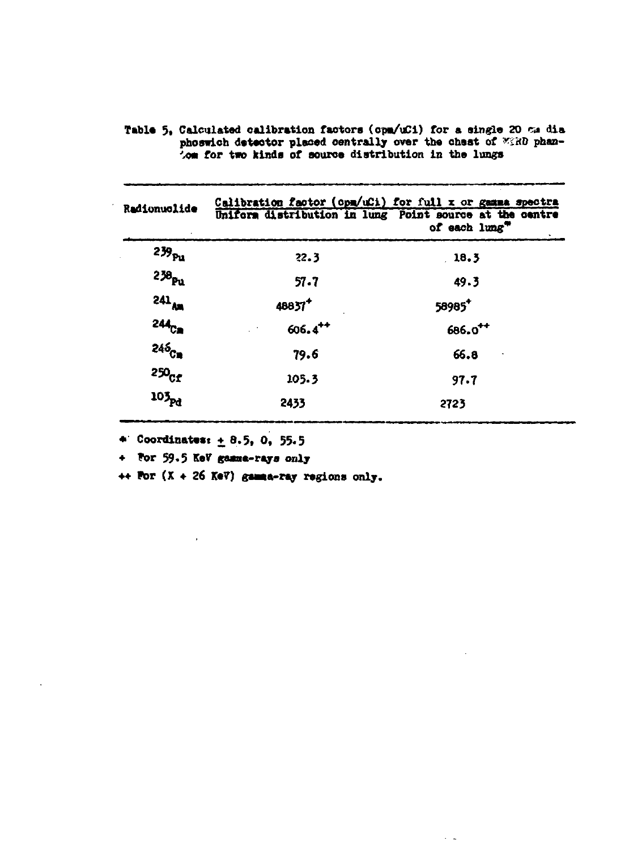| Radionuclide      | Calibration factor (opm/uCi) for full x or gamma spectra<br>Uniform distribution in lung Point source at the centre | of each lung"       |
|-------------------|---------------------------------------------------------------------------------------------------------------------|---------------------|
| 239 <sub>Pu</sub> | 22.3                                                                                                                | 18.3                |
| 238 <sub>Pu</sub> | 57.7                                                                                                                | 49.3                |
| $241_{AB}$        | 48837 <sup>+</sup>                                                                                                  | 58985+              |
| 244 <sub>Ca</sub> | $606.4^{++}$                                                                                                        | 686.0 <sup>++</sup> |
| 246 <sub>Ca</sub> | 79.6                                                                                                                | 66.8                |
| $250_{\rm CF}$    | 105.3                                                                                                               | 97.7                |
| $10\frac{1}{R}$   | 2433                                                                                                                | 2723                |

 $\sim$   $\sim$ 

Table 5, Calculated calibration factors (opm/uCi) for a single 20  $\infty$  dia phoswich detector placed centrally over the chest of WERD phan-<br>'om for two kinds of source distribution in the lungs

**4** Coordinates:  $\pm$  8.5, 0, 55.5

+ For 59.5 KeV gamma-rays only

 $\leftrightarrow$  For  $(X + 26$  KeV) gamma-ray regions only.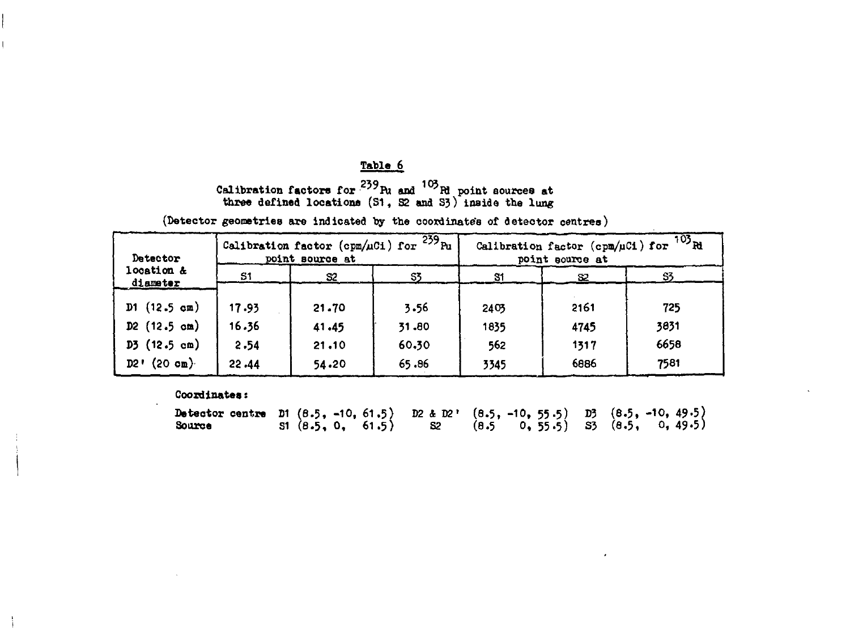# **Table 6**

# Calibration factors for <sup>200</sup>Pu and <sup>190</sup>Pu point sources at **three defined locations (S1, S2 and S3) inside the lung**

**(Detector geometries are indicated by the coordinate's of detector centres)**

| Detector               |       | point source at | Calibration factor (cpm/uCi) for $\frac{239}{10}$ Pu | $103\overline{\rm R}$<br>Calibration factor (cpm/uCi) for<br>point source at |      |      |
|------------------------|-------|-----------------|------------------------------------------------------|------------------------------------------------------------------------------|------|------|
| location &<br>diameter | S1    | S2              | SS.                                                  | 81                                                                           | 82   | -83  |
| $D1$ (12.5 cm)         | 17.93 | 21.70           | 3.56                                                 | 2403                                                                         | 2161 | 725  |
| $D2$ (12.5 cm)         | 16.36 | 41.45           | 31.80                                                | 1835                                                                         | 4745 | 3831 |
| $D5$ (12.5 cm)         | 2.54  | 21.10           | 60.30                                                | 562                                                                          | 1317 | 6658 |
| $D2'$ (20 cm)          | 22.44 | 54.20           | 65.86                                                | 3345                                                                         | 6886 | 7581 |

**Coordinates s**

| Detector centre D1 $(8.5, -10, 61.5)$ D2 & D2' $(8.5, -10, 55.5)$ D3 $(8.5, -10, 49.5)$ |  |  |                                                                                     |  |  |  |
|-----------------------------------------------------------------------------------------|--|--|-------------------------------------------------------------------------------------|--|--|--|
| <b>Source</b>                                                                           |  |  | $\left(8.5, 0, 61.5\right)$ $\left(8.5, 0, 55.5\right)$ $\left(8.5, 0, 49.5\right)$ |  |  |  |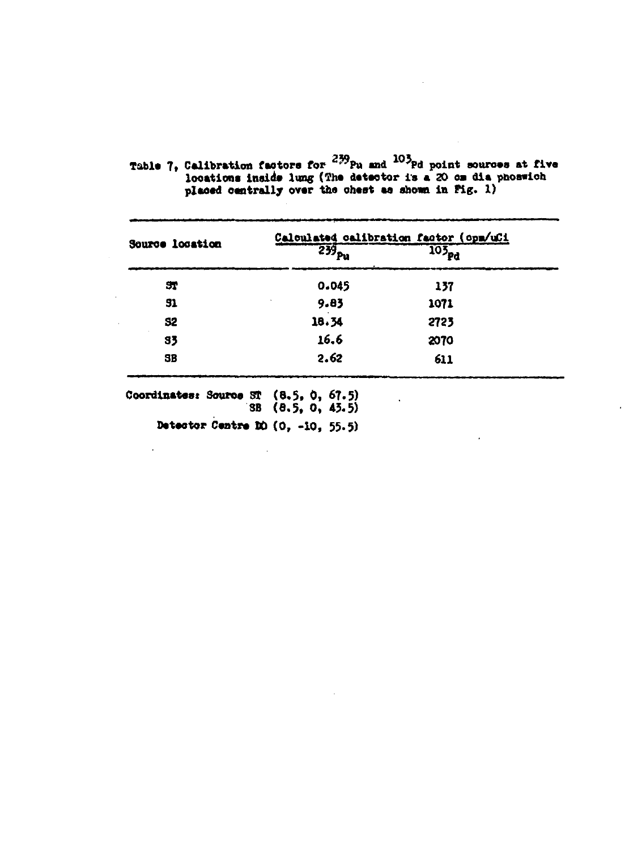Table 7, Calibration factors for  $^{239}_{29}$ Pu and  $^{103}_{20}$  point sources at five<br>locations inside lung (The detector is a 20 cm dia phoswich<br>placed centrally over the chest as shown in Fig. 1)

|                 | Calculated calibration factor (opm/uCi |                   |  |  |  |
|-----------------|----------------------------------------|-------------------|--|--|--|
| Source location | $\overline{239}_{\text{Pu}}$           | 105 <sub>pd</sub> |  |  |  |
| 51              | 0.045                                  | 137               |  |  |  |
| 51              | 9.83                                   | 1071              |  |  |  |
| <b>S2</b>       | 18.34                                  | 2723              |  |  |  |
| 33              | 16.6                                   | 2070              |  |  |  |
| SB              | 2.62                                   | 611               |  |  |  |

Coordinates: Source ST (8.5, 0, 67.5)<br>
SB (8.5, 0, 43.5)

Detector Centre DD  $(0, -10, 55.5)$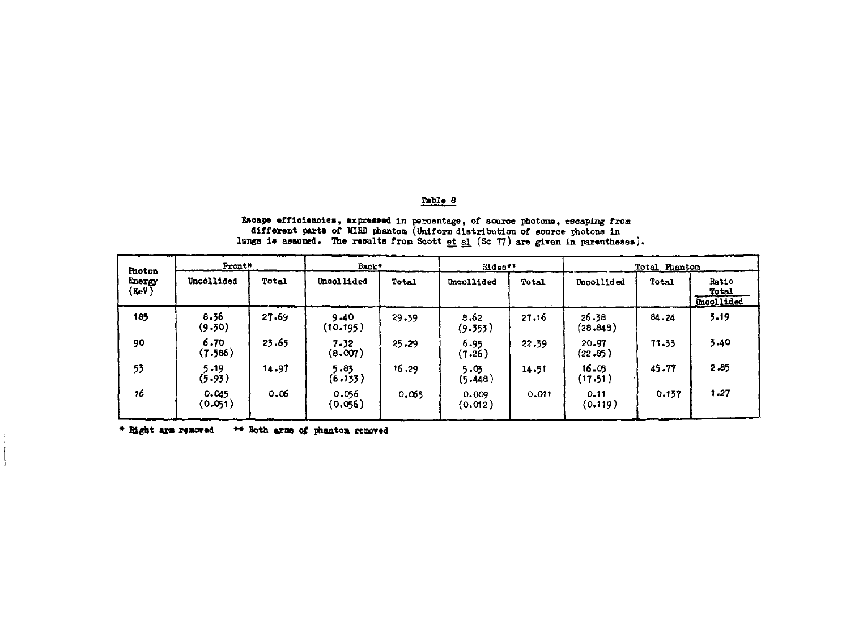# Table 8

Escape efficiencies, expressed in percentage, of source photons, escaping from<br>different parts of MIRD phanton (Uniform distribution of source photons in<br>lungs is assumed. The results from Scott et al (Sc 77) are given in

| Photon          | Pront*           |       | Back*            |       | Sides**          |       |                   | <b>Total Phanton</b> |                              |  |  |
|-----------------|------------------|-------|------------------|-------|------------------|-------|-------------------|----------------------|------------------------------|--|--|
| Energy<br>(KeV) | Uncollided       | Total | Uncollided       | Total | Uncollided       | Total | Uncollided        | Total                | Ratio<br>Total<br>Uncollided |  |  |
| 185             | 8.36<br>(9.30)   | 27.69 | 9.40<br>(10.195) | 29.39 | 8.62<br>(9.353)  | 27.16 | 26.38<br>(28.848) | 84.24                | 3.19                         |  |  |
| 90              | 6.70<br>(7.586)  | 23.65 | 7.32<br>(8.007)  | 25.29 | 6.95<br>(7.26)   | 22.39 | 20.97<br>(22.85)  | 71.33                | 3.40                         |  |  |
| 53              | 5.19<br>(5.93)   | 14.97 | 5.83<br>(6.133)  | 16.29 | 5.05<br>(5.448)  | 14.51 | 16.05<br>(17.51)  | 45.77                | 2.85                         |  |  |
| 16              | 0.045<br>(0.051) | 0.06  | 0.056<br>(0.056) | 0.065 | 0.009<br>(0.012) | 0.011 | 0.11<br>(0.119)   | 0.137                | 1.27                         |  |  |

**\* Bight axm mured \*\* Both arme of phantoa reoored**

 $\frac{1}{4}$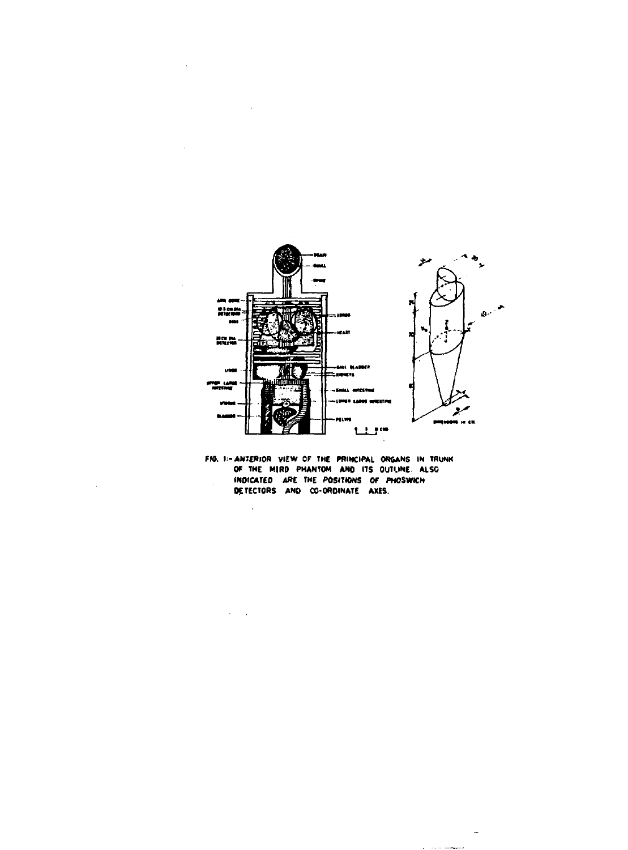

**HO. I:-ANTERIOR VIEW OF THE PRINCIPAL ORGANS IN TRUNK OP THE MIRP PHANTOM AND ITS OUTLINE ALSO INOICATCO ARC THE POSITIONS OF PHOSWKN DETECTORS AND CO-OROINATE AXES.**

 $\ddot{\phantom{a}}$ 

 $\sim 10^{11}$  km

 $\sim$   $\sim$ 

 $\sim$ 

a component of the component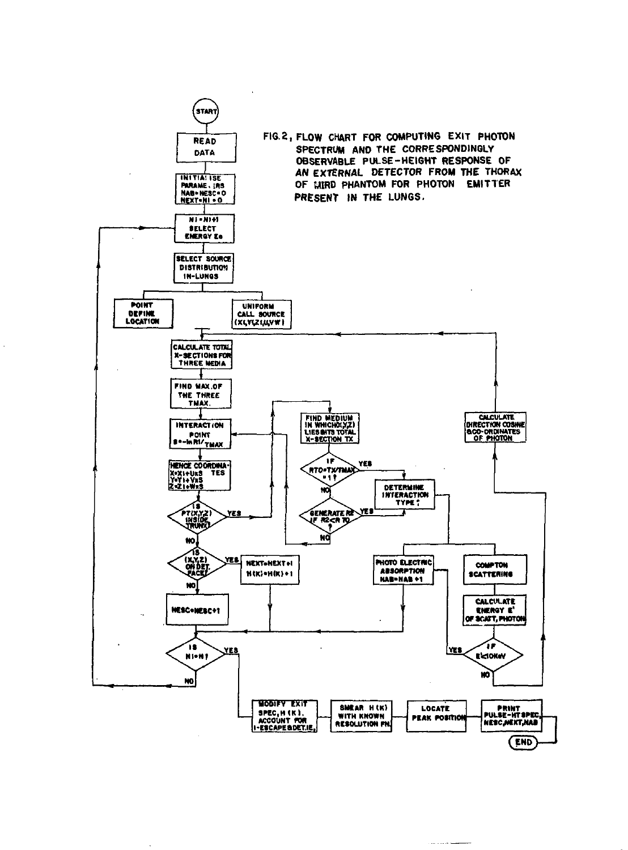

سوامين ويراد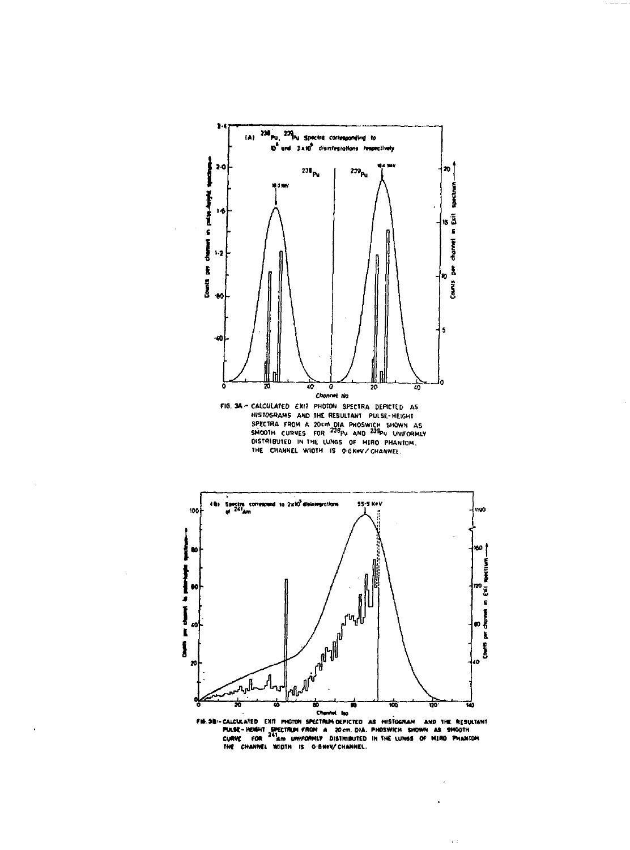





 $\bar{\psi}$  )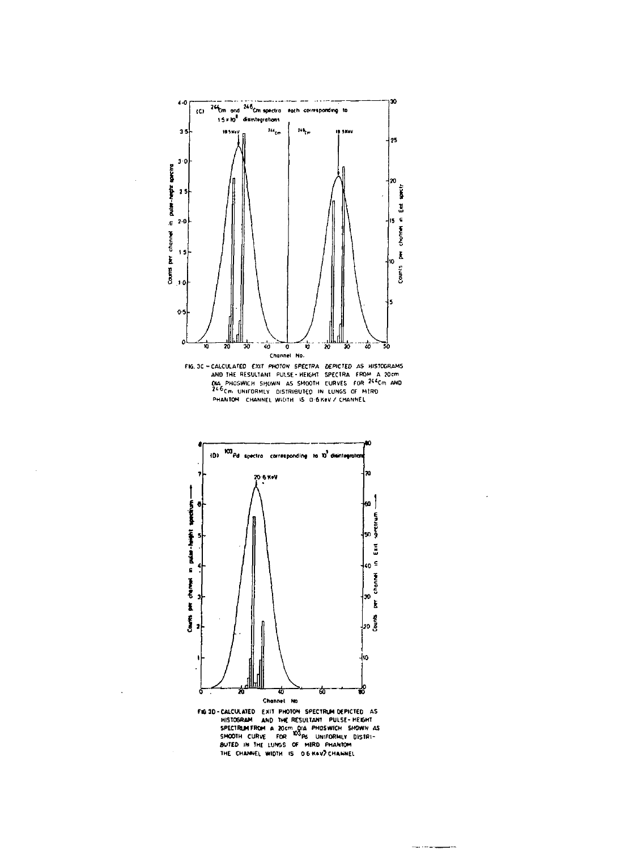

channel

È

Ī



---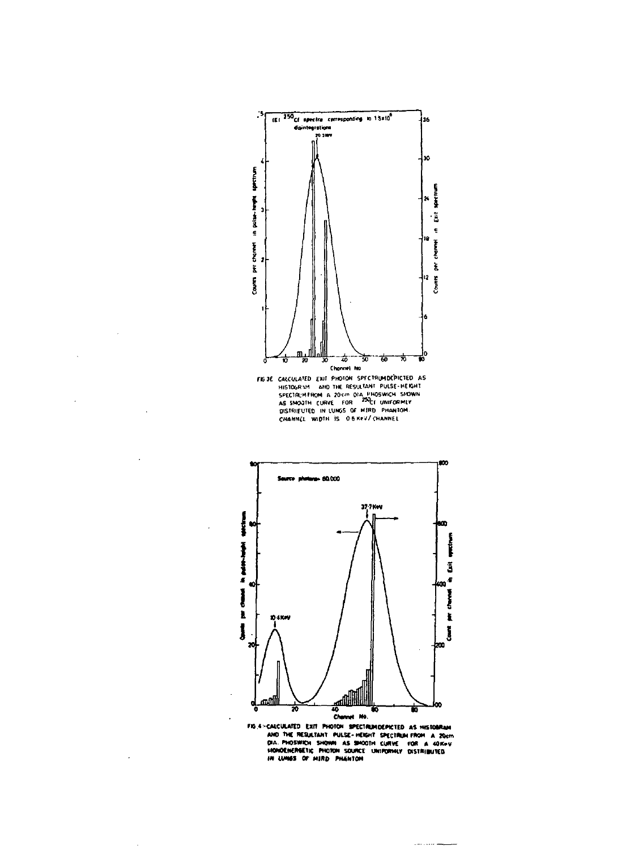

 $\overline{\phantom{a}}$ 



 $\sim$  matrices as some

 $\overline{a}$ 

 $\ddot{\phantom{a}}$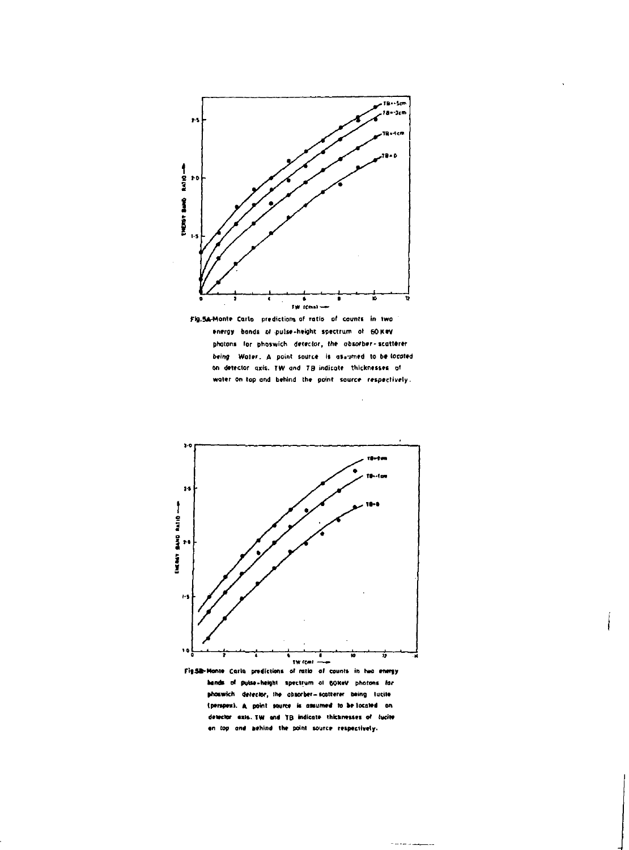

Fig.5A-Monte Carlo predictions of ratio of counts in two energy bands of pulse-height spectrum of GOKRV phatons for phoswich detector, the absorber-scatterer being. Water, A point source is assumed to be located on detector axis. TW and TB indicate thicknesses of water on top and behind the point source respectively.

i,

وسيدان مردانا والمنا



Fig.5B-Monte Carla predictions of ratio of counts in two energy hands of pulse-height spectrum of SOKeV photons for phoswich detector, the absorber-scatterer being tucite (perspex). A point source is assumed to be located on detector exis. TW and TB indicate thicknesses of lucite on top and behind the point source respectively.